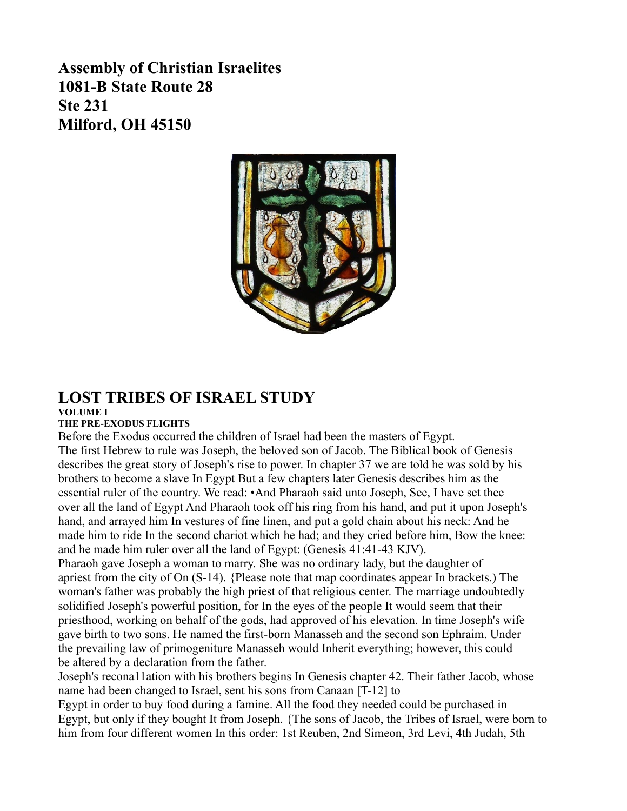**Assembly of Christian Israelites 1081-B State Route 28 Ste 231 Milford, OH 45150**



## **LOST TRIBES OF ISRAEL STUDY VOLUME I**

# **THE PRE-EXODUS FLIGHTS**

Before the Exodus occurred the children of Israel had been the masters of Egypt.

The first Hebrew to rule was Joseph, the beloved son of Jacob. The Biblical book of Genesis describes the great story of Joseph's rise to power. In chapter 37 we are told he was sold by his brothers to become a slave In Egypt But a few chapters later Genesis describes him as the essential ruler of the country. We read: •And Pharaoh said unto Joseph, See, I have set thee over all the land of Egypt And Pharaoh took off his ring from his hand, and put it upon Joseph's hand, and arrayed him In vestures of fine linen, and put a gold chain about his neck: And he made him to ride In the second chariot which he had; and they cried before him, Bow the knee: and he made him ruler over all the land of Egypt: (Genesis 41:41-43 KJV).

Pharaoh gave Joseph a woman to marry. She was no ordinary lady, but the daughter of apriest from the city of On (S-14). {Please note that map coordinates appear In brackets.) The woman's father was probably the high priest of that religious center. The marriage undoubtedly solidified Joseph's powerful position, for In the eyes of the people It would seem that their priesthood, working on behalf of the gods, had approved of his elevation. In time Joseph's wife gave birth to two sons. He named the first-born Manasseh and the second son Ephraim. Under the prevailing law of primogeniture Manasseh would Inherit everything; however, this could be altered by a declaration from the father.

Joseph's recona11ation with his brothers begins In Genesis chapter 42. Their father Jacob, whose name had been changed to Israel, sent his sons from Canaan [T-12] to

Egypt in order to buy food during a famine. All the food they needed could be purchased in Egypt, but only if they bought It from Joseph. {The sons of Jacob, the Tribes of Israel, were born to him from four different women In this order: 1st Reuben, 2nd Simeon, 3rd Levi, 4th Judah, 5th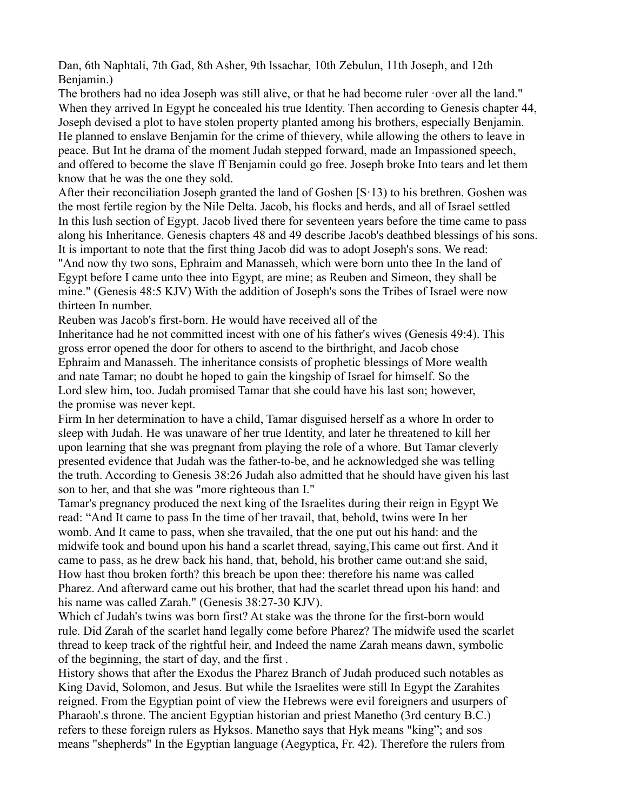Dan, 6th Naphtali, 7th Gad, 8th Asher, 9th lssachar, 10th Zebulun, 11th Joseph, and 12th Benjamin.)

The brothers had no idea Joseph was still alive, or that he had become ruler  $\cdot$ over all the land." When they arrived In Egypt he concealed his true Identity. Then according to Genesis chapter 44, Joseph devised a plot to have stolen property planted among his brothers, especially Benjamin. He planned to enslave Benjamin for the crime of thievery, while allowing the others to leave in peace. But Int he drama of the moment Judah stepped forward, made an Impassioned speech, and offered to become the slave ff Benjamin could go free. Joseph broke Into tears and let them know that he was the one they sold.

After their reconciliation Joseph granted the land of Goshen [S·13) to his brethren. Goshen was the most fertile region by the Nile Delta. Jacob, his flocks and herds, and all of Israel settled In this lush section of Egypt. Jacob lived there for seventeen years before the time came to pass along his Inheritance. Genesis chapters 48 and 49 describe Jacob's deathbed blessings of his sons. It is important to note that the first thing Jacob did was to adopt Joseph's sons. We read: "And now thy two sons, Ephraim and Manasseh, which were born unto thee In the land of Egypt before I came unto thee into Egypt, are mine; as Reuben and Simeon, they shall be mine." (Genesis 48:5 KJV) With the addition of Joseph's sons the Tribes of Israel were now thirteen In number.

Reuben was Jacob's first-born. He would have received all of the

Inheritance had he not committed incest with one of his father's wives (Genesis 49:4). This gross error opened the door for others to ascend to the birthright, and Jacob chose Ephraim and Manasseh. The inheritance consists of prophetic blessings of More wealth and nate Tamar; no doubt he hoped to gain the kingship of Israel for himself. So the Lord slew him, too. Judah promised Tamar that she could have his last son; however, the promise was never kept.

Firm In her determination to have a child, Tamar disguised herself as a whore In order to sleep with Judah. He was unaware of her true Identity, and later he threatened to kill her upon learning that she was pregnant from playing the role of a whore. But Tamar cleverly presented evidence that Judah was the father-to-be, and he acknowledged she was telling the truth. According to Genesis 38:26 Judah also admitted that he should have given his last son to her, and that she was "more righteous than I."

Tamar's pregnancy produced the next king of the Israelites during their reign in Egypt We read: "And It came to pass In the time of her travail, that, behold, twins were In her womb. And It came to pass, when she travailed, that the one put out his hand: and the midwife took and bound upon his hand a scarlet thread, saying,This came out first. And it came to pass, as he drew back his hand, that, behold, his brother came out:and she said, How hast thou broken forth? this breach be upon thee: therefore his name was called Pharez. And afterward came out his brother, that had the scarlet thread upon his hand: and his name was called Zarah." (Genesis 38:27-30 KJV).

Which cf Judah's twins was born first? At stake was the throne for the first-born would rule. Did Zarah of the scarlet hand legally come before Pharez? The midwife used the scarlet thread to keep track of the rightful heir, and Indeed the name Zarah means dawn, symbolic of the beginning, the start of day, and the first .

History shows that after the Exodus the Pharez Branch of Judah produced such notables as King David, Solomon, and Jesus. But while the Israelites were still In Egypt the Zarahites reigned. From the Egyptian point of view the Hebrews were evil foreigners and usurpers of Pharaoh'.s throne. The ancient Egyptian historian and priest Manetho (3rd century B.C.) refers to these foreign rulers as Hyksos. Manetho says that Hyk means "king"; and sos means "shepherds" In the Egyptian language (Aegyptica, Fr. 42). Therefore the rulers from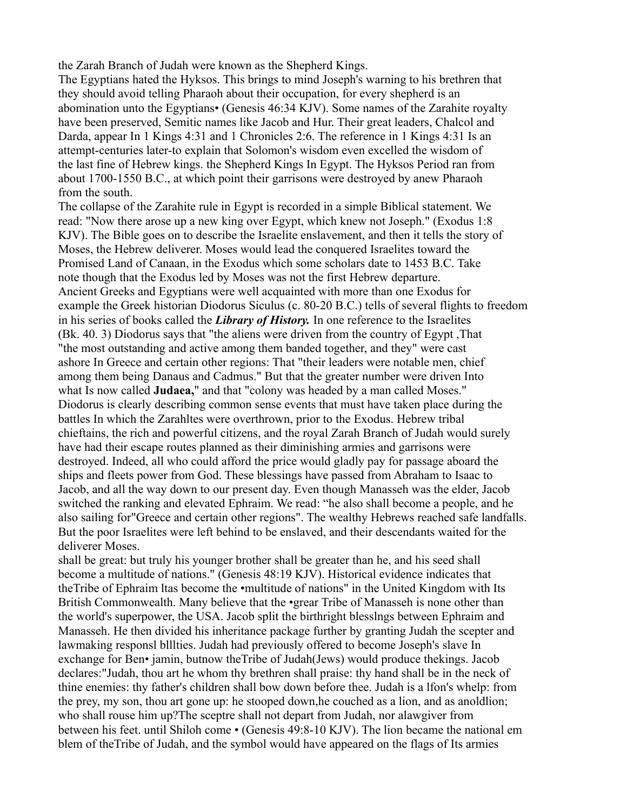the Zarah Branch of Judah were known as the Shepherd Kings.

The Egyptians hated the Hyksos. This brings to mind Joseph's warning to his brethren that they should avoid telling Pharaoh about their occupation, for every shepherd is an abomination unto the Egyptians• (Genesis 46:34 KJV). Some names of the Zarahite royalty have been preserved, Semitic names like Jacob and Hur. Their great leaders, Chalcol and Darda, appear In 1 Kings 4:31 and 1 Chronicles 2:6. The reference in 1 Kings 4:31 Is an attempt-centuries later-to explain that Solomon's wisdom even excelled the wisdom of the last fine of Hebrew kings. the Shepherd Kings In Egypt. The Hyksos Period ran from about 1700-1550 B.C., at which point their garrisons were destroyed by anew Pharaoh from the south.

The collapse of the Zarahite rule in Egypt is recorded in a simple Biblical statement. We read: "Now there arose up a new king over Egypt, which knew not Joseph." (Exodus 1:8 KJV). The Bible goes on to describe the Israelite enslavement, and then it tells the story of Moses, the Hebrew deliverer. Moses would lead the conquered Israelites toward the Promised Land of Canaan, in the Exodus which some scholars date to 1453 B.C. Take note though that the Exodus led by Moses was not the first Hebrew departure. Ancient Greeks and Egyptians were well acquainted with more than one Exodus for example the Greek historian Diodorus Siculus (c. 80-20 B.C.) tells of several flights to freedom in his series of books called the *Library of History.* In one reference to the Israelites (Bk. 40. 3) Diodorus says that "the aliens were driven from the country of Egypt ,That "the most outstanding and active among them banded together, and they" were cast ashore In Greece and certain other regions: That "their leaders were notable men, chief among them being Danaus and Cadmus." But that the greater number were driven Into what Is now called **Judaea,**" and that "colony was headed by a man called Moses." Diodorus is clearly describing common sense events that must have taken place during the battles In which the Zarahltes were overthrown, prior to the Exodus. Hebrew tribal chieftains, the rich and powerful citizens, and the royal Zarah Branch of Judah would surely have had their escape routes planned as their diminishing armies and garrisons were destroyed. Indeed, all who could afford the price would gladly pay for passage aboard the ships and fleets power from God. These blessings have passed from Abraham to Isaac to Jacob, and all the way down to our present day. Even though Manasseh was the elder, Jacob switched the ranking and elevated Ephraim. We read: "he also shall become a people, and he also sailing for"Greece and certain other regions". The wealthy Hebrews reached safe landfalls. But the poor Israelites were left behind to be enslaved, and their descendants waited for the deliverer Moses.

shall be great: but truly his younger brother shall be greater than he, and his seed shall become a multitude of nations." (Genesis 48:19 KJV). Historical evidence indicates that theTribe of Ephraim ltas become the •multitude of nations" in the United Kingdom with Its British Commonwealth. Many believe that the •grear Tribe of Manasseh is none other than the world's superpower, the USA. Jacob split the birthright blesslngs between Ephraim and Manasseh. He then divided his inheritance package further by granting Judah the scepter and lawmaking responsl blllties. Judah had previously offered to become Joseph's slave In exchange for Ben• jamin, butnow theTribe of Judah(Jews) would produce thekings. Jacob declares:"Judah, thou art he whom thy brethren shall praise: thy hand shall be in the neck of thine enemies: thy father's children shall bow down before thee. Judah is a lfon's whelp: from the prey, my son, thou art gone up: he stooped down,he couched as a lion, and as anoldlion; who shall rouse him up?The sceptre shall not depart from Judah, nor alawgiver from between his feet. until Shiloh come • (Genesis 49:8-10 KJV). The lion became the national em blem of theTribe of Judah, and the symbol would have appeared on the flags of Its armies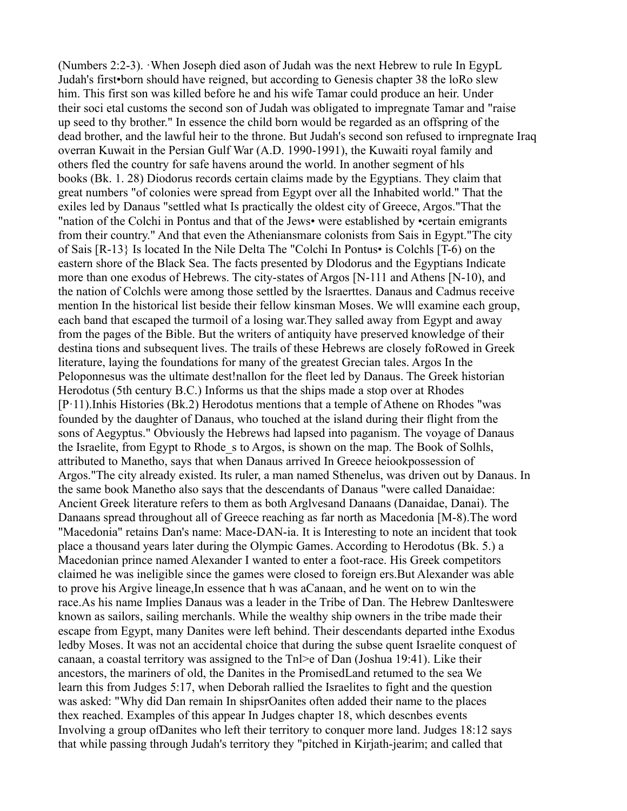(Numbers 2:2-3). ·When Joseph died ason of Judah was the next Hebrew to rule In EgypL Judah's first•born should have reigned, but according to Genesis chapter 38 the loRo slew him. This first son was killed before he and his wife Tamar could produce an heir. Under their soci etal customs the second son of Judah was obligated to impregnate Tamar and "raise up seed to thy brother." In essence the child born would be regarded as an offspring of the dead brother, and the lawful heir to the throne. But Judah's second son refused to irnpregnate Iraq overran Kuwait in the Persian Gulf War (A.D. 1990-1991), the Kuwaiti royal family and others fled the country for safe havens around the world. In another segment of hls books (Bk. 1. 28) Diodorus records certain claims made by the Egyptians. They claim that great numbers "of colonies were spread from Egypt over all the Inhabited world." That the exiles led by Danaus "settled what Is practically the oldest city of Greece, Argos."That the "nation of the Colchi in Pontus and that of the Jews• were established by •certain emigrants from their country." And that even the Atheniansmare colonists from Sais in Egypt."The city of Sais [R-13} Is located In the Nile Delta The "Colchi In Pontus• is Colchls [T-6) on the eastern shore of the Black Sea. The facts presented by Dlodorus and the Egyptians Indicate more than one exodus of Hebrews. The city-states of Argos [N-111 and Athens [N-10), and the nation of Colchls were among those settled by the lsraerttes. Danaus and Cadmus receive mention In the historical list beside their fellow kinsman Moses. We wlll examine each group, each band that escaped the turmoil of a losing war.They salled away from Egypt and away from the pages of the Bible. But the writers of antiquity have preserved knowledge of their destina tions and subsequent lives. The trails of these Hebrews are closely foRowed in Greek literature, laying the foundations for many of the greatest Grecian tales. Argos In the Peloponnesus was the ultimate dest!nallon for the fleet led by Danaus. The Greek historian Herodotus (5th century B.C.) Informs us that the ships made a stop over at Rhodes [P·11).Inhis Histories (Bk.2) Herodotus mentions that a temple of Athene on Rhodes "was founded by the daughter of Danaus, who touched at the island during their flight from the sons of Aegyptus." Obviously the Hebrews had lapsed into paganism. The voyage of Danaus the Israelite, from Egypt to Rhode\_s to Argos, is shown on the map. The Book of Solhls, attributed to Manetho, says that when Danaus arrived In Greece heiookpossession of Argos."The city already existed. Its ruler, a man named Sthenelus, was driven out by Danaus. In the same book Manetho also says that the descendants of Danaus "were called Danaidae: Ancient Greek literature refers to them as both Arglvesand Danaans (Danaidae, Danai). The Danaans spread throughout all of Greece reaching as far north as Macedonia [M-8).The word "Macedonia" retains Dan's name: Mace-DAN-ia. It is Interesting to note an incident that took place a thousand years later during the Olympic Games. According to Herodotus (Bk. 5.) a Macedonian prince named Alexander I wanted to enter a foot-race. His Greek competitors claimed he was ineligible since the games were closed to foreign ers.But Alexander was able to prove his Argive lineage,In essence that h was aCanaan, and he went on to win the race.As his name Implies Danaus was a leader in the Tribe of Dan. The Hebrew Danlteswere known as sailors, sailing merchanls. While the wealthy ship owners in the tribe made their escape from Egypt, many Danites were left behind. Their descendants departed inthe Exodus ledby Moses. It was not an accidental choice that during the subse quent Israelite conquest of canaan, a coastal territory was assigned to the Tnl>e of Dan (Joshua 19:41). Like their ancestors, the mariners of old, the Danites in the PromisedLand retumed to the sea We learn this from Judges 5:17, when Deborah rallied the Israelites to fight and the question was asked: "Why did Dan remain In shipsrOanites often added their name to the places thex reached. Examples of this appear In Judges chapter 18, which descnbes events Involving a group ofDanites who left their territory to conquer more land. Judges 18:12 says that while passing through Judah's territory they "pitched in Kirjath-jearim; and called that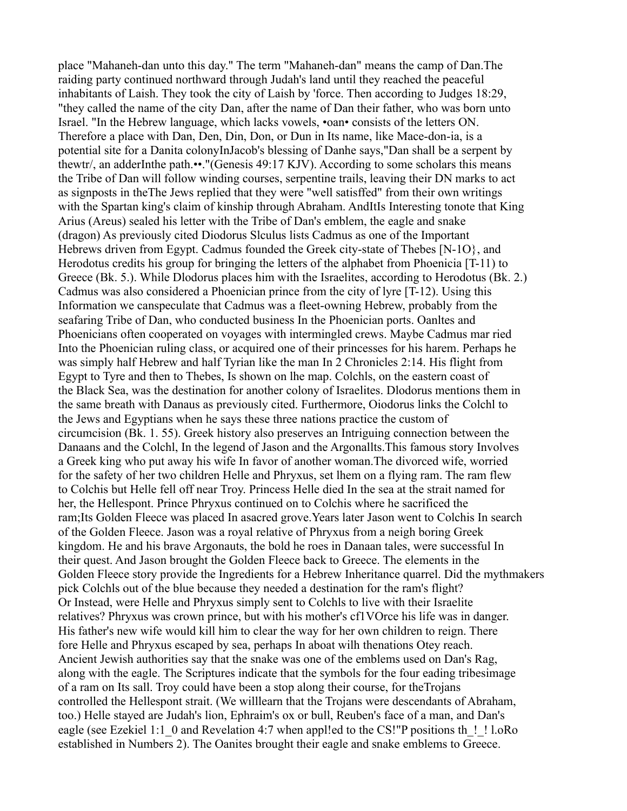place "Mahaneh-dan unto this day." The term "Mahaneh-dan" means the camp of Dan.The raiding party continued northward through Judah's land until they reached the peaceful inhabitants of Laish. They took the city of Laish by 'force. Then according to Judges 18:29, "they called the name of the city Dan, after the name of Dan their father, who was born unto Israel. "In the Hebrew language, which lacks vowels, •oan• consists of the letters ON. Therefore a place with Dan, Den, Din, Don, or Dun in Its name, like Mace-don-ia, is a potential site for a Danita colonyInJacob's blessing of Danhe says,"Dan shall be a serpent by thewtr/, an adderInthe path.••."(Genesis 49:17 KJV). According to some scholars this means the Tribe of Dan will follow winding courses, serpentine trails, leaving their DN marks to act as signposts in theThe Jews replied that they were "well satisffed" from their own writings with the Spartan king's claim of kinship through Abraham. AndItIs Interesting tonote that King Arius (Areus) sealed his letter with the Tribe of Dan's emblem, the eagle and snake (dragon) As previously cited Diodorus Slculus lists Cadmus as one of the Important Hebrews driven from Egypt. Cadmus founded the Greek city-state of Thebes [N-1O}, and Herodotus credits his group for bringing the letters of the alphabet from Phoenicia [T-11) to Greece (Bk. 5.). While Dlodorus places him with the Israelites, according to Herodotus (Bk. 2.) Cadmus was also considered a Phoenician prince from the city of lyre [T-12). Using this Information we canspeculate that Cadmus was a fleet-owning Hebrew, probably from the seafaring Tribe of Dan, who conducted business In the Phoenician ports. Oanltes and Phoenicians often cooperated on voyages with intermingled crews. Maybe Cadmus mar ried Into the Phoenician ruling class, or acquired one of their princesses for his harem. Perhaps he was simply half Hebrew and half Tyrian like the man In 2 Chronicles 2:14. His flight from Egypt to Tyre and then to Thebes, Is shown on lhe map. Colchls, on the eastern coast of the Black Sea, was the destination for another colony of Israelites. Dlodorus mentions them in the same breath with Danaus as previously cited. Furthermore, Oiodorus links the Colchl to the Jews and Egyptians when he says these three nations practice the custom of circumcision (Bk. 1. 55). Greek history also preserves an Intriguing connection between the Danaans and the Colchl, In the legend of Jason and the Argonallts.This famous story Involves a Greek king who put away his wife In favor of another woman.The divorced wife, worried for the safety of her two children Helle and Phryxus, set lhem on a flying ram. The ram flew to Colchis but Helle fell off near Troy. Princess Helle died In the sea at the strait named for her, the Hellespont. Prince Phryxus continued on to Colchis where he sacrificed the ram;Its Golden Fleece was placed In asacred grove.Years later Jason went to Colchis In search of the Golden Fleece. Jason was a royal relative of Phryxus from a neigh boring Greek kingdom. He and his brave Argonauts, the bold he roes in Danaan tales, were successful In their quest. And Jason brought the Golden Fleece back to Greece. The elements in the Golden Fleece story provide the Ingredients for a Hebrew Inheritance quarrel. Did the mythmakers pick Colchls out of the blue because they needed a destination for the ram's flight? Or Instead, were Helle and Phryxus simply sent to Colchls to live with their Israelite relatives? Phryxus was crown prince, but with his mother's cf1VOrce his life was in danger. His father's new wife would kill him to clear the way for her own children to reign. There fore Helle and Phryxus escaped by sea, perhaps In aboat wilh thenations Otey reach. Ancient Jewish authorities say that the snake was one of the emblems used on Dan's Rag, along with the eagle. The Scriptures indicate that the symbols for the four eading tribesimage of a ram on Its sall. Troy could have been a stop along their course, for theTrojans controlled the Hellespont strait. (We willlearn that the Trojans were descendants of Abraham, too.) Helle stayed are Judah's lion, Ephraim's ox or bull, Reuben's face of a man, and Dan's eagle (see Ezekiel 1:1 0 and Revelation 4:7 when appl!ed to the CS!"P positions th !! l.oRo established in Numbers 2). The Oanites brought their eagle and snake emblems to Greece.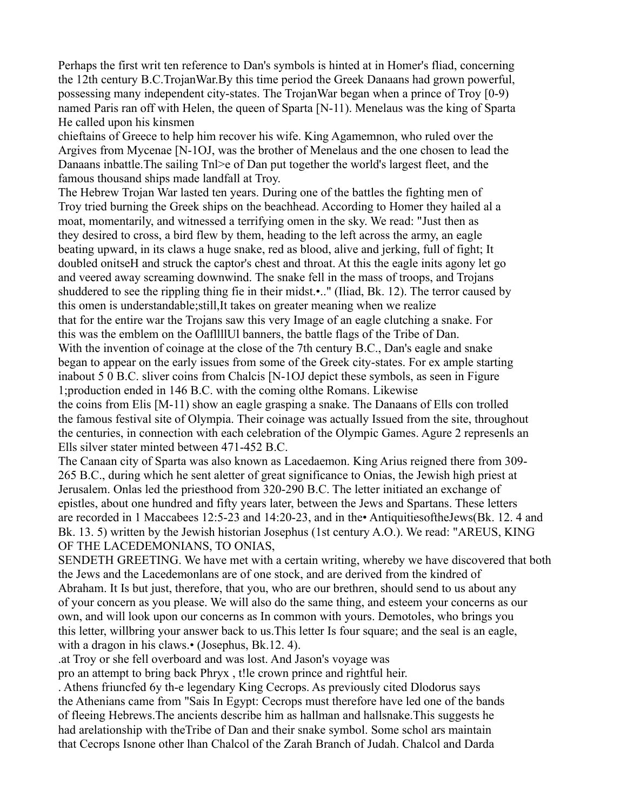Perhaps the first writ ten reference to Dan's symbols is hinted at in Homer's fliad, concerning the 12th century B.C.TrojanWar.By this time period the Greek Danaans had grown powerful, possessing many independent city-states. The TrojanWar began when a prince of Troy [0-9) named Paris ran off with Helen, the queen of Sparta [N-11). Menelaus was the king of Sparta He called upon his kinsmen

chieftains of Greece to help him recover his wife. King Agamemnon, who ruled over the Argives from Mycenae [N-1OJ, was the brother of Menelaus and the one chosen to lead the Danaans inbattle.The sailing Tnl>e of Dan put together the world's largest fleet, and the famous thousand ships made landfall at Troy.

The Hebrew Trojan War lasted ten years. During one of the battles the fighting men of Troy tried burning the Greek ships on the beachhead. According to Homer they hailed al a moat, momentarily, and witnessed a terrifying omen in the sky. We read: "Just then as they desired to cross, a bird flew by them, heading to the left across the army, an eagle beating upward, in its claws a huge snake, red as blood, alive and jerking, full of fight; It doubled onitseH and struck the captor's chest and throat. At this the eagle inits agony let go and veered away screaming downwind. The snake fell in the mass of troops, and Trojans shuddered to see the rippling thing fie in their midst.•.." (Iliad, Bk. 12). The terror caused by this omen is understandable;still,It takes on greater meaning when we realize that for the entire war the Trojans saw this very Image of an eagle clutching a snake. For this was the emblem on the OafllllUl banners, the battle flags of the Tribe of Dan. With the invention of coinage at the close of the 7th century B.C., Dan's eagle and snake began to appear on the early issues from some of the Greek city-states. For ex ample starting inabout 5 0 B.C. sliver coins from Chalcis [N-1OJ depict these symbols, as seen in Figure 1;production ended in 146 B.C. with the coming olthe Romans. Likewise the coins from Elis [M-11) show an eagle grasping a snake. The Danaans of Ells con trolled the famous festival site of Olympia. Their coinage was actually Issued from the site, throughout the centuries, in connection with each celebration of the Olympic Games. Agure 2 represenls an Ells silver stater minted between 471-452 B.C.

The Canaan city of Sparta was also known as Lacedaemon. King Arius reigned there from 309- 265 B.C., during which he sent aletter of great significance to Onias, the Jewish high priest at Jerusalem. Onlas led the priesthood from 320-290 B.C. The letter initiated an exchange of epistles, about one hundred and fifty years later, between the Jews and Spartans. These letters are recorded in 1 Maccabees 12:5-23 and 14:20-23, and in the• AntiquitiesoftheJews(Bk. 12. 4 and Bk. 13. 5) written by the Jewish historian Josephus (1st century A.O.). We read: "AREUS, KING OF THE LACEDEMONIANS, TO ONIAS,

SENDETH GREETING. We have met with a certain writing, whereby we have discovered that both the Jews and the Lacedemonlans are of one stock, and are derived from the kindred of Abraham. It Is but just, therefore, that you, who are our brethren, should send to us about any of your concern as you please. We will also do the same thing, and esteem your concerns as our own, and will look upon our concerns as In common with yours. Demotoles, who brings you this letter, willbring your answer back to us.This letter Is four square; and the seal is an eagle, with a dragon in his claws.• (Josephus, Bk.12. 4).

.at Troy or she fell overboard and was lost. And Jason's voyage was

pro an attempt to bring back Phryx , t!le crown prince and rightful heir.

. Athens friuncfed 6y th-e legendary King Cecrops. As previously cited Dlodorus says the Athenians came from "Sais In Egypt: Cecrops must therefore have led one of the bands of fleeing Hebrews.The ancients describe him as hallman and hallsnake.This suggests he had arelationship with theTribe of Dan and their snake symbol. Some schol ars maintain that Cecrops Isnone other lhan Chalcol of the Zarah Branch of Judah. Chalcol and Darda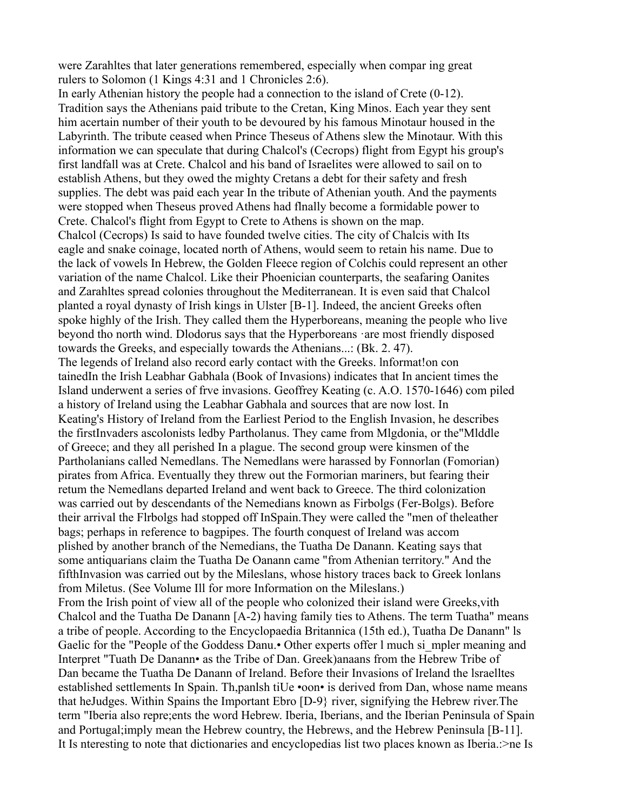were Zarahltes that later generations remembered, especially when compar ing great rulers to Solomon (1 Kings 4:31 and 1 Chronicles 2:6).

In early Athenian history the people had a connection to the island of Crete (0-12). Tradition says the Athenians paid tribute to the Cretan, King Minos. Each year they sent him acertain number of their youth to be devoured by his famous Minotaur housed in the Labyrinth. The tribute ceased when Prince Theseus of Athens slew the Minotaur. With this information we can speculate that during Chalcol's (Cecrops) flight from Egypt his group's first landfall was at Crete. Chalcol and his band of Israelites were allowed to sail on to establish Athens, but they owed the mighty Cretans a debt for their safety and fresh supplies. The debt was paid each year In the tribute of Athenian youth. And the payments were stopped when Theseus proved Athens had flnally become a formidable power to Crete. Chalcol's flight from Egypt to Crete to Athens is shown on the map. Chalcol (Cecrops) Is said to have founded twelve cities. The city of Chalcis with Its eagle and snake coinage, located north of Athens, would seem to retain his name. Due to the lack of vowels In Hebrew, the Golden Fleece region of Colchis could represent an other variation of the name Chalcol. Like their Phoenician counterparts, the seafaring Oanites and Zarahltes spread colonies throughout the Mediterranean. It is even said that Chalcol planted a royal dynasty of Irish kings in Ulster [B-1]. Indeed, the ancient Greeks often spoke highly of the Irish. They called them the Hyperboreans, meaning the people who live beyond tho north wind. Dlodorus says that the Hyperboreans ·are most friendly disposed towards the Greeks, and especially towards the Athenians...: (Bk. 2. 47). The legends of Ireland also record early contact with the Greeks. lnformat!on con tainedIn the Irish Leabhar Gabhala (Book of Invasions) indicates that In ancient times the Island underwent a series of frve invasions. Geoffrey Keating (c. A.O. 1570-1646) com piled a history of Ireland using the Leabhar Gabhala and sources that are now lost. In Keating's History of Ireland from the Earliest Period to the English Invasion, he describes the firstInvaders ascolonists ledby Partholanus. They came from Mlgdonia, or the"Mlddle of Greece; and they all perished In a plague. The second group were kinsmen of the Partholanians called Nemedlans. The Nemedlans were harassed by Fonnorlan (Fomorian) pirates from Africa. Eventually they threw out the Formorian mariners, but fearing their retum the Nemedlans departed Ireland and went back to Greece. The third colonization was carried out by descendants of the Nemedians known as Firbolgs (Fer-Bolgs). Before their arrival the Flrbolgs had stopped off InSpain.They were called the "men of theleather bags; perhaps in reference to bagpipes. The fourth conquest of Ireland was accom plished by another branch of the Nemedians, the Tuatha De Danann. Keating says that some antiquarians claim the Tuatha De Oanann came "from Athenian territory." And the fifthInvasion was carried out by the Mileslans, whose history traces back to Greek lonlans from Miletus. (See Volume Ill for more Information on the Mileslans.) From the Irish point of view all of the people who colonized their island were Greeks,vith Chalcol and the Tuatha De Danann [A-2) having family ties to Athens. The term Tuatha" means a tribe of people. According to the Encyclopaedia Britannica (15th ed.), Tuatha De Danann" ls Gaelic for the "People of the Goddess Danu. Other experts offer l much si mpler meaning and Interpret "Tuath De Danann• as the Tribe of Dan. Greek)anaans from the Hebrew Tribe of Dan became the Tuatha De Danann of Ireland. Before their Invasions of Ireland the lsraelltes established settlements In Spain. Th,panlsh tiUe •oon• is derived from Dan, whose name means that heJudges. Within Spains the Important Ebro [D-9} river, signifying the Hebrew river.The term "Iberia also repre;ents the word Hebrew. Iberia, Iberians, and the Iberian Peninsula of Spain and Portugal;imply mean the Hebrew country, the Hebrews, and the Hebrew Peninsula [B-11]. It Is nteresting to note that dictionaries and encyclopedias list two places known as Iberia.:>ne Is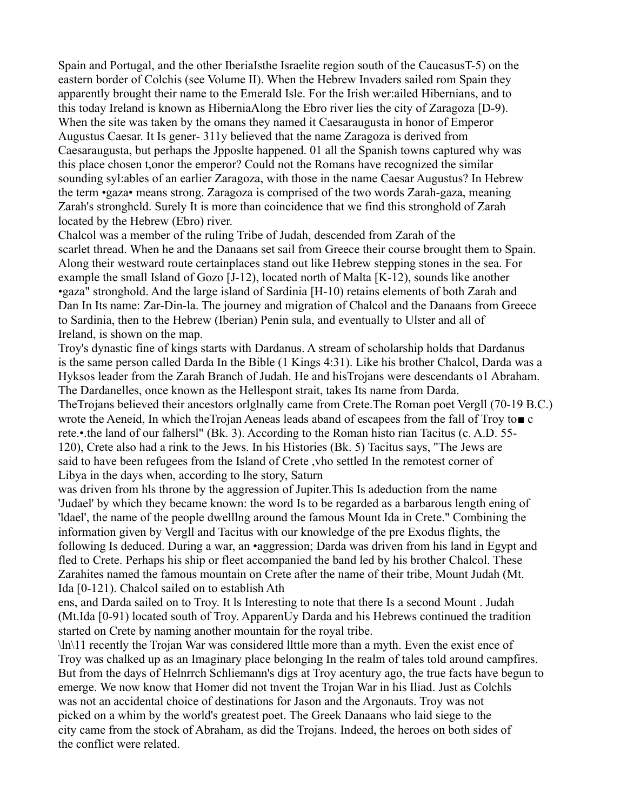Spain and Portugal, and the other IberiaIsthe Israelite region south of the CaucasusT-5) on the eastern border of Colchis (see Volume II). When the Hebrew Invaders sailed rom Spain they apparently brought their name to the Emerald Isle. For the Irish wer:ailed Hibernians, and to this today Ireland is known as HiberniaAlong the Ebro river lies the city of Zaragoza [D-9). When the site was taken by the omans they named it Caesaraugusta in honor of Emperor Augustus Caesar. It Is gener- 311y believed that the name Zaragoza is derived from Caesaraugusta, but perhaps the Jpposlte happened. 01 all the Spanish towns captured why was this place chosen t,onor the emperor? Could not the Romans have recognized the similar sounding syl:ables of an earlier Zaragoza, with those in the name Caesar Augustus? In Hebrew the term •gaza• means strong. Zaragoza is comprised of the two words Zarah-gaza, meaning Zarah's stronghcld. Surely It is more than coincidence that we find this stronghold of Zarah located by the Hebrew (Ebro) river.

Chalcol was a member of the ruling Tribe of Judah, descended from Zarah of the scarlet thread. When he and the Danaans set sail from Greece their course brought them to Spain. Along their westward route certainplaces stand out like Hebrew stepping stones in the sea. For example the small Island of Gozo [J-12), located north of Malta [K-12), sounds like another •gaza" stronghold. And the large island of Sardinia [H-10) retains elements of both Zarah and Dan In Its name: Zar-Din-la. The journey and migration of Chalcol and the Danaans from Greece to Sardinia, then to the Hebrew (Iberian) Penin sula, and eventually to Ulster and all of Ireland, is shown on the map.

Troy's dynastic fine of kings starts with Dardanus. A stream of scholarship holds that Dardanus is the same person called Darda In the Bible (1 Kings 4:31). Like his brother Chalcol, Darda was a Hyksos leader from the Zarah Branch of Judah. He and hisTrojans were descendants o1 Abraham. The Dardanelles, once known as the Hellespont strait, takes Its name from Darda. TheTrojans believed their ancestors orlglnally came from Crete.The Roman poet Vergll (70-19 B.C.) wrote the Aeneid, In which theTrojan Aeneas leads aband of escapees from the fall of Troy to■ c rete.•.the land of our falhersl" (Bk. 3). According to the Roman histo rian Tacitus (c. A.D. 55- 120), Crete also had a rink to the Jews. In his Histories (Bk. 5) Tacitus says, "The Jews are said to have been refugees from the Island of Crete ,vho settled In the remotest corner of Libya in the days when, according to lhe story, Saturn

was driven from hls throne by the aggression of Jupiter.This Is adeduction from the name 'Judael' by which they became known: the word Is to be regarded as a barbarous length ening of 'ldael', the name of the people dwelllng around the famous Mount Ida in Crete." Combining the information given by Vergll and Tacitus with our knowledge of the pre Exodus flights, the following Is deduced. During a war, an •aggression; Darda was driven from his land in Egypt and fled to Crete. Perhaps his ship or fleet accompanied the band led by his brother Chalcol. These Zarahites named the famous mountain on Crete after the name of their tribe, Mount Judah (Mt. Ida [0-121). Chalcol sailed on to establish Ath

ens, and Darda sailed on to Troy. It ls Interesting to note that there Is a second Mount . Judah (Mt.Ida [0-91) located south of Troy. ApparenUy Darda and his Hebrews continued the tradition started on Crete by naming another mountain for the royal tribe.

 $\ln(11$  recently the Trojan War was considered little more than a myth. Even the exist ence of Troy was chalked up as an Imaginary place belonging In the realm of tales told around campfires. But from the days of Helnrrch Schliemann's digs at Troy acentury ago, the true facts have begun to emerge. We now know that Homer did not tnvent the Trojan War in his Iliad. Just as Colchls was not an accidental choice of destinations for Jason and the Argonauts. Troy was not picked on a whim by the world's greatest poet. The Greek Danaans who laid siege to the city came from the stock of Abraham, as did the Trojans. Indeed, the heroes on both sides of the conflict were related.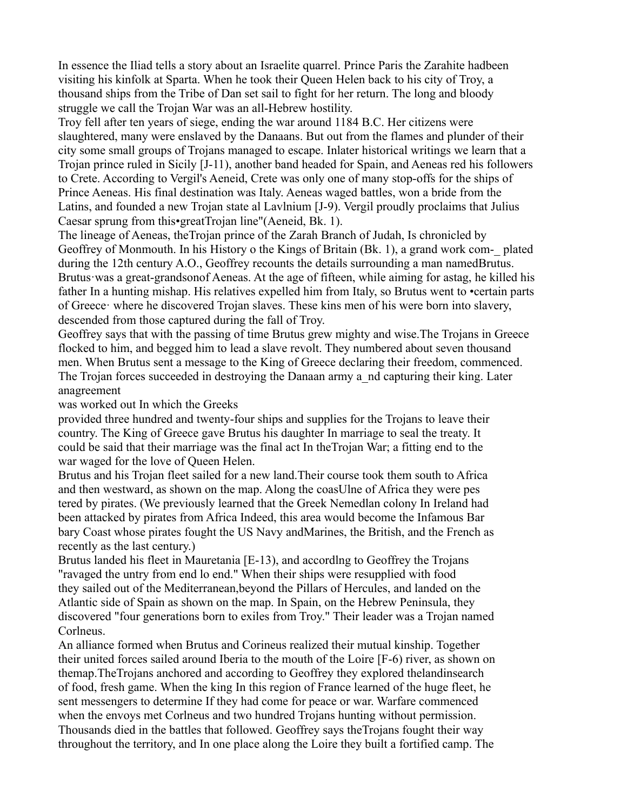In essence the Iliad tells a story about an Israelite quarrel. Prince Paris the Zarahite hadbeen visiting his kinfolk at Sparta. When he took their Queen Helen back to his city of Troy, a thousand ships from the Tribe of Dan set sail to fight for her return. The long and bloody struggle we call the Trojan War was an all-Hebrew hostility.

Troy fell after ten years of siege, ending the war around 1184 B.C. Her citizens were slaughtered, many were enslaved by the Danaans. But out from the flames and plunder of their city some small groups of Trojans managed to escape. Inlater historical writings we learn that a Trojan prince ruled in Sicily [J-11), another band headed for Spain, and Aeneas red his followers to Crete. According to Vergil's Aeneid, Crete was only one of many stop-offs for the ships of Prince Aeneas. His final destination was Italy. Aeneas waged battles, won a bride from the Latins, and founded a new Trojan state al Lavlnium [J-9). Vergil proudly proclaims that Julius Caesar sprung from this•greatTrojan line"(Aeneid, Bk. 1).

The lineage of Aeneas, theTrojan prince of the Zarah Branch of Judah, Is chronicled by Geoffrey of Monmouth. In his History o the Kings of Britain (Bk. 1), a grand work com-\_ plated during the 12th century A.O., Geoffrey recounts the details surrounding a man namedBrutus. Brutus·was a great-grandsonof Aeneas. At the age of fifteen, while aiming for astag, he killed his father In a hunting mishap. His relatives expelled him from Italy, so Brutus went to •certain parts of Greece· where he discovered Trojan slaves. These kins men of his were born into slavery, descended from those captured during the fall of Troy.

Geoffrey says that with the passing of time Brutus grew mighty and wise.The Trojans in Greece flocked to him, and begged him to lead a slave revolt. They numbered about seven thousand men. When Brutus sent a message to the King of Greece declaring their freedom, commenced. The Trojan forces succeeded in destroying the Danaan army a nd capturing their king. Later anagreement

was worked out In which the Greeks

provided three hundred and twenty-four ships and supplies for the Trojans to leave their country. The King of Greece gave Brutus his daughter In marriage to seal the treaty. It could be said that their marriage was the final act In theTrojan War; a fitting end to the war waged for the love of Queen Helen.

Brutus and his Trojan fleet sailed for a new land.Their course took them south to Africa and then westward, as shown on the map. Along the coasUlne of Africa they were pes tered by pirates. (We previously learned that the Greek Nemedlan colony In Ireland had been attacked by pirates from Africa Indeed, this area would become the Infamous Bar bary Coast whose pirates fought the US Navy andMarines, the British, and the French as recently as the last century.)

Brutus landed his fleet in Mauretania [E-13), and accordlng to Geoffrey the Trojans "ravaged the untry from end lo end." When their ships were resupplied with food they sailed out of the Mediterranean,beyond the Pillars of Hercules, and landed on the Atlantic side of Spain as shown on the map. In Spain, on the Hebrew Peninsula, they discovered "four generations born to exiles from Troy." Their leader was a Trojan named Corlneus.

An alliance formed when Brutus and Corineus realized their mutual kinship. Together their united forces sailed around Iberia to the mouth of the Loire [F-6) river, as shown on themap.TheTrojans anchored and according to Geoffrey they explored thelandinsearch of food, fresh game. When the king In this region of France learned of the huge fleet, he sent messengers to determine If they had come for peace or war. Warfare commenced when the envoys met Corlneus and two hundred Trojans hunting without permission. Thousands died in the battles that followed. Geoffrey says theTrojans fought their way throughout the territory, and In one place along the Loire they built a fortified camp. The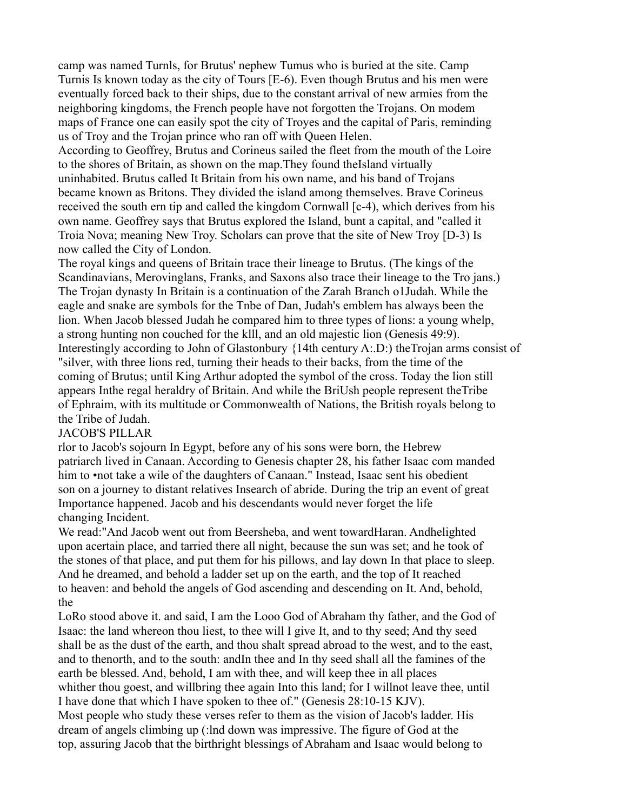camp was named Turnls, for Brutus' nephew Tumus who is buried at the site. Camp Turnis Is known today as the city of Tours [E-6). Even though Brutus and his men were eventually forced back to their ships, due to the constant arrival of new armies from the neighboring kingdoms, the French people have not forgotten the Trojans. On modem maps of France one can easily spot the city of Troyes and the capital of Paris, reminding us of Troy and the Trojan prince who ran off with Queen Helen.

According to Geoffrey, Brutus and Corineus sailed the fleet from the mouth of the Loire to the shores of Britain, as shown on the map.They found theIsland virtually uninhabited. Brutus called It Britain from his own name, and his band of Trojans became known as Britons. They divided the island among themselves. Brave Corineus received the south ern tip and called the kingdom Cornwall [c-4), which derives from his own name. Geoffrey says that Brutus explored the Island, bunt a capital, and "called it Troia Nova; meaning New Troy. Scholars can prove that the site of New Troy [D-3) Is now called the City of London.

The royal kings and queens of Britain trace their lineage to Brutus. (The kings of the Scandinavians, Merovinglans, Franks, and Saxons also trace their lineage to the Tro jans.) The Trojan dynasty In Britain is a continuation of the Zarah Branch o1Judah. While the eagle and snake are symbols for the Tnbe of Dan, Judah's emblem has always been the lion. When Jacob blessed Judah he compared him to three types of lions: a young whelp, a strong hunting non couched for the klll, and an old majestic lion (Genesis 49:9). Interestingly according to John of Glastonbury {14th century A:.D:) theTrojan arms consist of "silver, with three lions red, turning their heads to their backs, from the time of the coming of Brutus; until King Arthur adopted the symbol of the cross. Today the lion still appears Inthe regal heraldry of Britain. And while the BriUsh people represent theTribe of Ephraim, with its multitude or Commonwealth of Nations, the British royals belong to the Tribe of Judah.

# JACOB'S PILLAR

rlor to Jacob's sojourn In Egypt, before any of his sons were born, the Hebrew patriarch lived in Canaan. According to Genesis chapter 28, his father Isaac com manded him to •not take a wile of the daughters of Canaan." Instead, Isaac sent his obedient son on a journey to distant relatives Insearch of abride. During the trip an event of great Importance happened. Jacob and his descendants would never forget the life changing Incident.

We read:"And Jacob went out from Beersheba, and went towardHaran. Andhelighted upon acertain place, and tarried there all night, because the sun was set; and he took of the stones of that place, and put them for his pillows, and lay down In that place to sleep. And he dreamed, and behold a ladder set up on the earth, and the top of It reached to heaven: and behold the angels of God ascending and descending on It. And, behold, the

LoRo stood above it. and said, I am the Looo God of Abraham thy father, and the God of Isaac: the land whereon thou liest, to thee will I give It, and to thy seed; And thy seed shall be as the dust of the earth, and thou shalt spread abroad to the west, and to the east, and to thenorth, and to the south: andIn thee and In thy seed shall all the famines of the earth be blessed. And, behold, I am with thee, and will keep thee in all places whither thou goest, and willbring thee again Into this land; for I willnot leave thee, until I have done that which I have spoken to thee of." (Genesis 28:10-15 KJV). Most people who study these verses refer to them as the vision of Jacob's ladder. His dream of angels climbing up (:lnd down was impressive. The figure of God at the top, assuring Jacob that the birthright blessings of Abraham and Isaac would belong to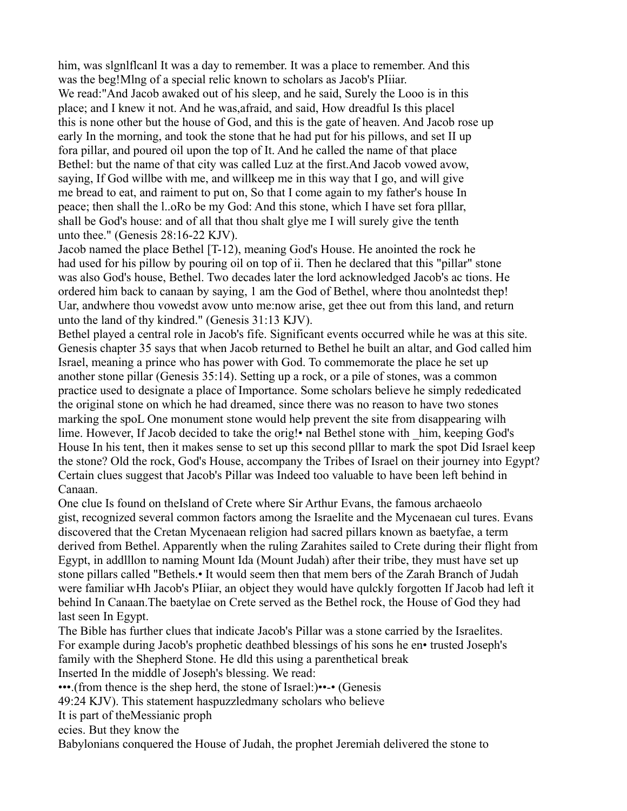him, was slgnlflcanl It was a day to remember. It was a place to remember. And this was the beg!Mlng of a special relic known to scholars as Jacob's PIiiar. We read:"And Jacob awaked out of his sleep, and he said, Surely the Looo is in this place; and I knew it not. And he was,afraid, and said, How dreadful Is this placel this is none other but the house of God, and this is the gate of heaven. And Jacob rose up early In the morning, and took the stone that he had put for his pillows, and set II up fora pillar, and poured oil upon the top of It. And he called the name of that place Bethel: but the name of that city was called Luz at the first.And Jacob vowed avow, saying, If God willbe with me, and willkeep me in this way that I go, and will give me bread to eat, and raiment to put on, So that I come again to my father's house In peace; then shall the l..oRo be my God: And this stone, which I have set fora plllar, shall be God's house: and of all that thou shalt glye me I will surely give the tenth unto thee." (Genesis 28:16-22 KJV).

Jacob named the place Bethel [T-12), meaning God's House. He anointed the rock he had used for his pillow by pouring oil on top of ii. Then he declared that this "pillar" stone was also God's house, Bethel. Two decades later the lord acknowledged Jacob's ac tions. He ordered him back to canaan by saying, 1 am the God of Bethel, where thou anolntedst thep! Uar, andwhere thou vowedst avow unto me:now arise, get thee out from this land, and return unto the land of thy kindred." (Genesis 31:13 KJV).

Bethel played a central role in Jacob's fife. Significant events occurred while he was at this site. Genesis chapter 35 says that when Jacob returned to Bethel he built an altar, and God called him Israel, meaning a prince who has power with God. To commemorate the place he set up another stone pillar (Genesis 35:14). Setting up a rock, or a pile of stones, was a common practice used to designate a place of Importance. Some scholars believe he simply rededicated the original stone on which he had dreamed, since there was no reason to have two stones marking the spoL One monument stone would help prevent the site from disappearing wilh lime. However, If Jacob decided to take the orig! • nal Bethel stone with him, keeping God's House In his tent, then it makes sense to set up this second plllar to mark the spot Did Israel keep the stone? Old the rock, God's House, accompany the Tribes of Israel on their journey into Egypt? Certain clues suggest that Jacob's Pillar was Indeed too valuable to have been left behind in Canaan.

One clue Is found on theIsland of Crete where Sir Arthur Evans, the famous archaeolo gist, recognized several common factors among the Israelite and the Mycenaean cul tures. Evans discovered that the Cretan Mycenaean religion had sacred pillars known as baetyfae, a term derived from Bethel. Apparently when the ruling Zarahites sailed to Crete during their flight from Egypt, in addlllon to naming Mount Ida (Mount Judah) after their tribe, they must have set up stone pillars called "Bethels.• It would seem then that mem bers of the Zarah Branch of Judah were familiar wHh Jacob's PIiiar, an object they would have qulckly forgotten If Jacob had left it behind In Canaan.The baetylae on Crete served as the Bethel rock, the House of God they had last seen In Egypt.

The Bible has further clues that indicate Jacob's Pillar was a stone carried by the Israelites. For example during Jacob's prophetic deathbed blessings of his sons he en• trusted Joseph's family with the Shepherd Stone. He dld this using a parenthetical break

Inserted In the middle of Joseph's blessing. We read:

•••.(from thence is the shep herd, the stone of Israel:)••-• (Genesis

49:24 KJV). This statement haspuzzledmany scholars who believe

It is part of theMessianic proph

ecies. But they know the

Babylonians conquered the House of Judah, the prophet Jeremiah delivered the stone to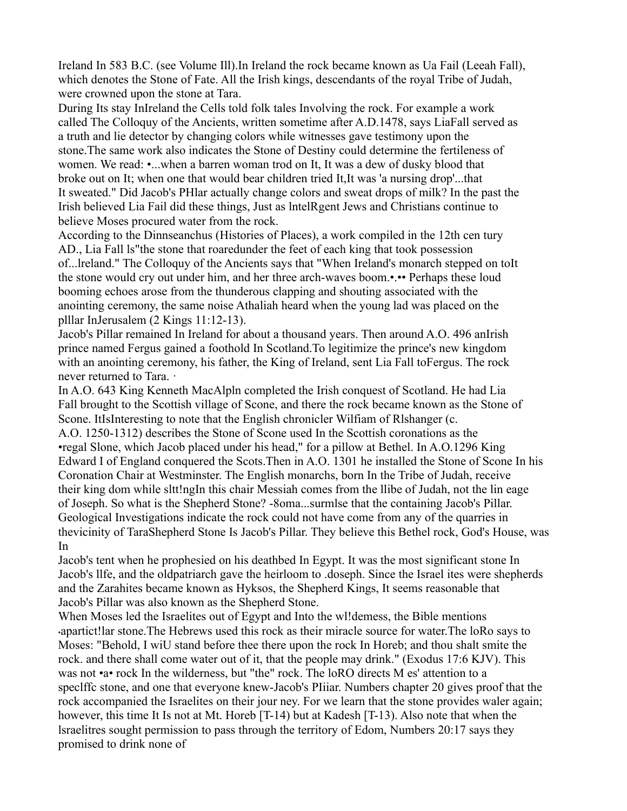Ireland In 583 B.C. (see Volume Ill).In Ireland the rock became known as Ua Fail (Leeah Fall), which denotes the Stone of Fate. All the Irish kings, descendants of the royal Tribe of Judah, were crowned upon the stone at Tara.

During Its stay InIreland the Cells told folk tales Involving the rock. For example a work called The Colloquy of the Ancients, written sometime after A.D.1478, says LiaFall served as a truth and lie detector by changing colors while witnesses gave testimony upon the stone.The same work also indicates the Stone of Destiny could determine the fertileness of women. We read: •...when a barren woman trod on It, It was a dew of dusky blood that broke out on It; when one that would bear children tried It,It was 'a nursing drop'...that It sweated." Did Jacob's PHlar actually change colors and sweat drops of milk? In the past the Irish believed Lia Fail did these things, Just as lntelRgent Jews and Christians continue to believe Moses procured water from the rock.

According to the Dinnseanchus (Histories of Places), a work compiled in the 12th cen tury AD., Lia Fall ls"the stone that roaredunder the feet of each king that took possession of...lreland." The Colloquy of the Ancients says that "When Ireland's monarch stepped on toIt the stone would cry out under him, and her three arch-waves boom.•.•• Perhaps these loud booming echoes arose from the thunderous clapping and shouting associated with the anointing ceremony, the same noise Athaliah heard when the young lad was placed on the plllar InJerusalem (2 Kings 11:12-13).

Jacob's Pillar remained In Ireland for about a thousand years. Then around A.O. 496 anIrish prince named Fergus gained a foothold In Scotland.To legitimize the prince's new kingdom with an anointing ceremony, his father, the King of Ireland, sent Lia Fall toFergus. The rock never returned to Tara. ·

In A.O. 643 King Kenneth MacAlpln completed the Irish conquest of Scotland. He had Lia Fall brought to the Scottish village of Scone, and there the rock became known as the Stone of Scone. ItIsInteresting to note that the English chronicler Wilfiam of Rlshanger (c. A.O. 1250-1312) describes the Stone of Scone used In the Scottish coronations as the •regal Slone, which Jacob placed under his head," for a pillow at Bethel. In A.O.1296 King Edward I of England conquered the Scots.Then in A.O. 1301 he installed the Stone of Scone In his Coronation Chair at Westminster. The English monarchs, born In the Tribe of Judah, receive their king dom while sltt!ngIn this chair Messiah comes from the llibe of Judah, not the lin eage of Joseph. So what is the Shepherd Stone? -8oma...surmlse that the containing Jacob's Pillar. Geological Investigations indicate the rock could not have come from any of the quarries in thevicinity of TaraShepherd Stone Is Jacob's Pillar. They believe this Bethel rock, God's House, was In

Jacob's tent when he prophesied on his deathbed In Egypt. It was the most significant stone In Jacob's llfe, and the oldpatriarch gave the heirloom to .doseph. Since the Israel ites were shepherds and the Zarahites became known as Hyksos, the Shepherd Kings, It seems reasonable that Jacob's Pillar was also known as the Shepherd Stone.

When Moses led the Israelites out of Egypt and Into the wl!demess, the Bible mentions •apartict!lar stone.The Hebrews used this rock as their miracle source for water.The loRo says to Moses: "Behold, I wiU stand before thee there upon the rock In Horeb; and thou shalt smite the rock. and there shall come water out of it, that the people may drink." (Exodus 17:6 KJV). This was not •a• rock In the wilderness, but "the" rock. The loRO directs M es' attention to a speclffc stone, and one that everyone knew-Jacob's PIiiar. Numbers chapter 20 gives proof that the rock accompanied the Israelites on their jour ney. For we learn that the stone provides waler again; however, this time It Is not at Mt. Horeb [T-14) but at Kadesh [T-13). Also note that when the lsraelitres sought permission to pass through the territory of Edom, Numbers 20:17 says they promised to drink none of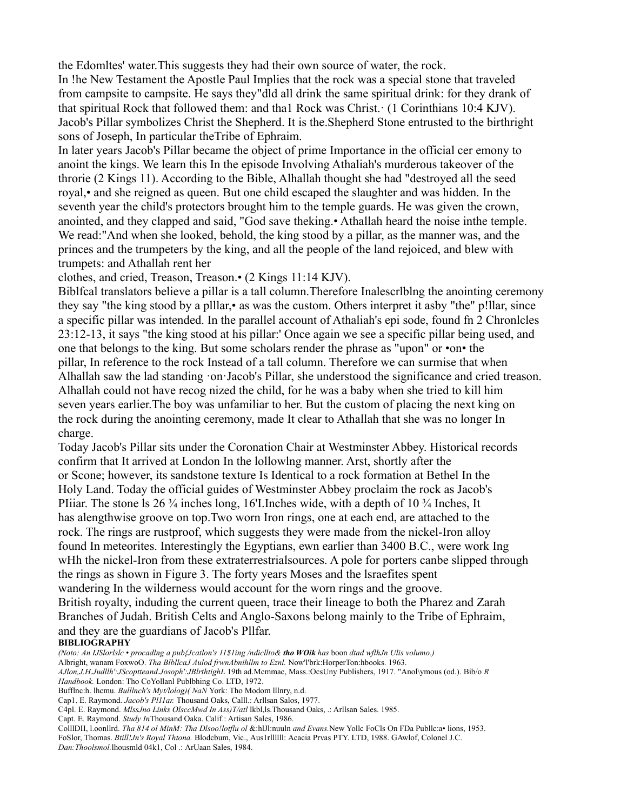the Edomltes' water.This suggests they had their own source of water, the rock. In !he New Testament the Apostle Paul Implies that the rock was a special stone that traveled from campsite to campsite. He says they"dld all drink the same spiritual drink: for they drank of that spiritual Rock that followed them: and tha1 Rock was Christ.· (1 Corinthians 10:4 KJV). Jacob's Pillar symbolizes Christ the Shepherd. It is the.Shepherd Stone entrusted to the birthright sons of Joseph, In particular theTribe of Ephraim.

In later years Jacob's Pillar became the object of prime Importance in the official cer emony to anoint the kings. We learn this In the episode Involving Athaliah's murderous takeover of the throrie (2 Kings 11). According to the Bible, Alhallah thought she had "destroyed all the seed royal,• and she reigned as queen. But one child escaped the slaughter and was hidden. In the seventh year the child's protectors brought him to the temple guards. He was given the crown, anointed, and they clapped and said, "God save theking.• Athallah heard the noise inthe temple. We read:"And when she looked, behold, the king stood by a pillar, as the manner was, and the princes and the trumpeters by the king, and all the people of the land rejoiced, and blew with trumpets: and Athallah rent her

clothes, and cried, Treason, Treason.• (2 Kings 11:14 KJV).

Biblfcal translators believe a pillar is a tall column.Therefore Inalescrlblng the anointing ceremony they say "the king stood by a plllar,• as was the custom. Others interpret it asby "the" p!llar, since a specific pillar was intended. In the parallel account of Athaliah's epi sode, found fn 2 Chronlcles 23:12-13, it says "the king stood at his pillar:' Once again we see a specific pillar being used, and one that belongs to the king. But some scholars render the phrase as "upon" or •on• the pillar, In reference to the rock Instead of a tall column. Therefore we can surmise that when Alhallah saw the lad standing ·on·Jacob's Pillar, she understood the significance and cried treason. Alhallah could not have recog nized the child, for he was a baby when she tried to kill him seven years earlier.The boy was unfamiliar to her. But the custom of placing the next king on the rock during the anointing ceremony, made It clear to Athallah that she was no longer In charge.

Today Jacob's Pillar sits under the Coronation Chair at Westminster Abbey. Historical records confirm that It arrived at London In the lollowlng manner. Arst, shortly after the or Scone; however, its sandstone texture Is Identical to a rock formation at Bethel In the Holy Land. Today the official guides of Westminster Abbey proclaim the rock as Jacob's PIiiar. The stone ls 26  $\frac{3}{4}$  inches long, 16'I. Inches wide, with a depth of 10  $\frac{3}{4}$  Inches, It has alengthwise groove on top.Two worn Iron rings, one at each end, are attached to the rock. The rings are rustproof, which suggests they were made from the nickel-Iron alloy found In meteorites. Interestingly the Egyptians, ewn earlier than 3400 B.C., were work Ing wHh the nickel-Iron from these extraterrestrialsources. A pole for porters canbe slipped through the rings as shown in Figure 3. The forty years Moses and the lsraefites spent wandering In the wilderness would account for the worn rings and the groove. British royalty, induding the current queen, trace their lineage to both the Pharez and Zarah Branches of Judah. British Celts and Anglo-Saxons belong mainly to the Tribe of Ephraim, and they are the guardians of Jacob's Pllfar.

#### **BIBLIOGRAPHY**

*(Noto: An IJSlorlslc* • *procadlng a pub{Jcatlon's 11\$1ing /ndicllto& tho WOik has* boon *dtad wflhJn Ulis volumo.)* Albright, wanam FoxwoO. *Tha BlbllcaJ Aulod frwnAbnihllm to Eznl.* Now'l'brk:HorperTon:hbooks. 1963. *AJlon,J.H.Judllh':JScoptteand.Josoph':JBlrthtighL* 19th ad.Mcmmac, Mass.:OcsUny Publishers, 1917. "Anol\ymous (od.). Bib/o *R Handbook.* London: Tho CoYollanl Publbhing Co. LTD, 1972. Bufflnc:h. lhcmu. *Bulllnch's Myt/lolog)( NaN* York: Tho Modom lllnry, n.d. Cap1. E. Raymond. *Jacob's Pl11ar.* Thousand Oaks, Calll.: Arllsan Salos, 1977. C4pl. E. Raymond. *MlssJno Links OlsccMwd In Ass)T/atl* lkbl,ls.Thousand Oaks, .: Arllsan Sales. 1985. Capt. E. Raymond. *Study In*Thousand Oaka. Calif.: Artisan Sales, 1986.

ColllDII, l.oonllrd. *Tha 814 ol MinM: Tha Dlsoo!lotflu ol* &:hlJl:nuuln *and Evans.*New Yollc FoCls On FDa Publlc:a• lions, 1953. FoSlor, Thomas. *Btill!Jn's Royal Thtona.* Blodcbum, Vic., Aus1rllllll: Acacia Prvas PTY. LTD, 1988. GAwlof, Colonel J.C. *Dan:Thoolsmol.*lhousmld 04k1, Col .: ArUaan Sales, 1984.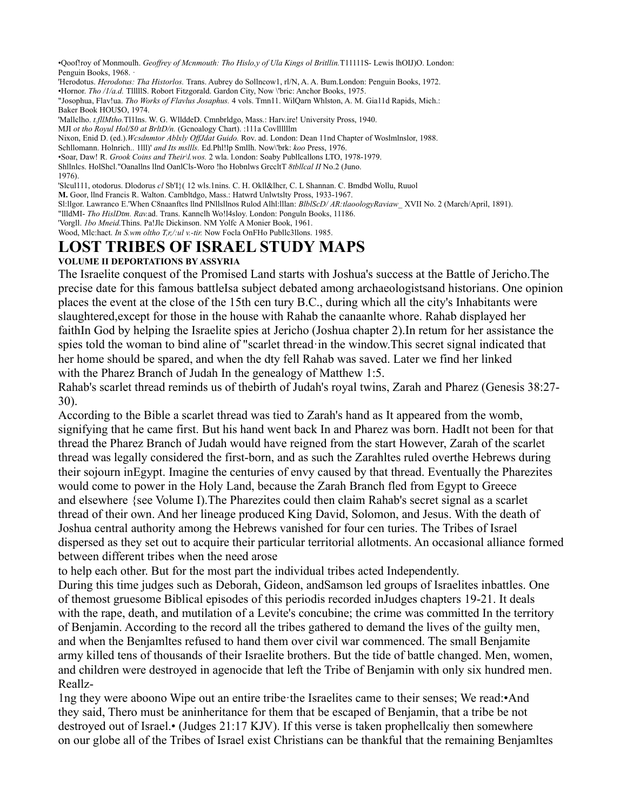•Qoof!roy of Monmoulh. *Geoffrey of Mcnmouth: Tho Hislo,y of Ula Kings ol Britllin.*T11111S- Lewis lhOIJ)O. London: Penguin Books, 1968.

'Herodotus. *Herodotus: Tha Historlos.* Trans. Aubrey do Sollncow1, rl/N, A. A. Bum.London: Penguin Books, 1972. •Hornor. *Tho /1/a.d.* TlllllS. Robort Fitzgorald. Gardon City, Now \'bric: Anchor Books, 1975. "Josophua, Flav!ua. *Tho Works of Flavlus Josaphus.* 4 vols. Tmn11. WilQarn Whlston, A. M. Gia11d Rapids, Mich.: Baker Book HOU\$O, 1974. 'Mallclho. *t.fllMtho.*Tl1lns. W. G. WllddeD. Cmnbrldgo, Mass.: Harv.ire! University Pross, 1940. MJI *ot tho Royul Hol/\$0 at BrltD/n.* (Gcnoalogy Chart). :111a Covllllllm Nixon, Enid D. (ed.).*Wcsdnmtor Ablxly OffJdat Guido.* Rov. ad. London: Dean 11nd Chapter of Woslmlnslor, 1988. Schllomann. Holnrich.. 1lll)' *and Its msllls.* Ed.Phl!lp Smllh. Now\'brk: *koo* Press, 1976.

•Soar, Daw! R. *Grook Coins and Their\l.wos.* 2 wla. l.ondon: Soaby Publlcallons LTO, 1978-1979.

Shllnlcs. HolShcl."Oanallns llnd OanlCls-Woro !ho Hobnlws GrccltT *8tbllcal II* No.2 (Juno.

1976).

'Slcul111, otodorus. Dlodorus *cl* Sb'I}( 12 wls.1nins. C. H. Okll&lhcr, C. L Shannan. C. Bmdbd Wollu, Ruuol

**M.** Goor, llnd Francis R. Walton. Cambltdgo, Mass.: Hatwrd Unlwtslty Pross, 1933-1967.

Sl:llgor. Lawranco E.'When C8naanftcs llnd PNllsllnos Rulod Alhl:lllan: *BlblScD/ AR:tlaoologyRaviaw\_* XVII No. 2 (March/April, 1891).

"llldMI- *Tho HislDtm. Rav.*ad. Trans. Kannclh Wo!l4sloy. London: Ponguln Books, 11186.

'Vorgll. *1bo Mneid.*Thins. Pa!Jlc Dickinson. NM Yolfc A Monier Book, 1961.

Wood, Mlc:hact. *In S.wm oltho T,r,/:ul v.-tir.* Now Focla OnFHo Publlc3llons. 1985.

### **LOST TRIBES OF ISRAEL STUDY MAPS VOLUME II DEPORTATIONS BY ASSYRIA**

The Israelite conquest of the Promised Land starts with Joshua's success at the Battle of Jericho.The precise date for this famous battleIsa subject debated among archaeologistsand historians. One opinion places the event at the close of the 15th cen tury B.C., during which all the city's Inhabitants were slaughtered,except for those in the house with Rahab the canaanlte whore. Rahab displayed her faithIn God by helping the Israelite spies at Jericho (Joshua chapter 2).In retum for her assistance the spies told the woman to bind aline of "scarlet thread·in the window.This secret signal indicated that her home should be spared, and when the dty fell Rahab was saved. Later we find her linked with the Pharez Branch of Judah In the genealogy of Matthew 1:5.

Rahab's scarlet thread reminds us of thebirth of Judah's royal twins, Zarah and Pharez (Genesis 38:27- 30).

According to the Bible a scarlet thread was tied to Zarah's hand as It appeared from the womb, signifying that he came first. But his hand went back In and Pharez was born. HadIt not been for that thread the Pharez Branch of Judah would have reigned from the start However, Zarah of the scarlet thread was legally considered the first-born, and as such the Zarahltes ruled overthe Hebrews during their sojourn inEgypt. Imagine the centuries of envy caused by that thread. Eventually the Pharezites would come to power in the Holy Land, because the Zarah Branch fled from Egypt to Greece and elsewhere {see Volume I).The Pharezites could then claim Rahab's secret signal as a scarlet thread of their own. And her lineage produced King David, Solomon, and Jesus. With the death of Joshua central authority among the Hebrews vanished for four cen turies. The Tribes of Israel dispersed as they set out to acquire their particular territorial allotments. An occasional alliance formed between different tribes when the need arose

to help each other. But for the most part the individual tribes acted Independently.

During this time judges such as Deborah, Gideon, andSamson led groups of Israelites inbattles. One of themost gruesome Biblical episodes of this periodis recorded inJudges chapters 19-21. It deals with the rape, death, and mutilation of a Levite's concubine; the crime was committed In the territory of Benjamin. According to the record all the tribes gathered to demand the lives of the guilty men, and when the Benjamltes refused to hand them over civil war commenced. The small Benjamite army killed tens of thousands of their Israelite brothers. But the tide of battle changed. Men, women, and children were destroyed in agenocide that left the Tribe of Benjamin with only six hundred men. Reallz-

1ng they were aboono Wipe out an entire tribe·the Israelites came to their senses; We read:•And they said, Thero must be aninheritance for them that be escaped of Benjamin, that a tribe be not destroyed out of Israel.• (Judges 21:17 KJV). If this verse is taken prophellcaliy then somewhere on our globe all of the Tribes of Israel exist Christians can be thankful that the remaining Benjamltes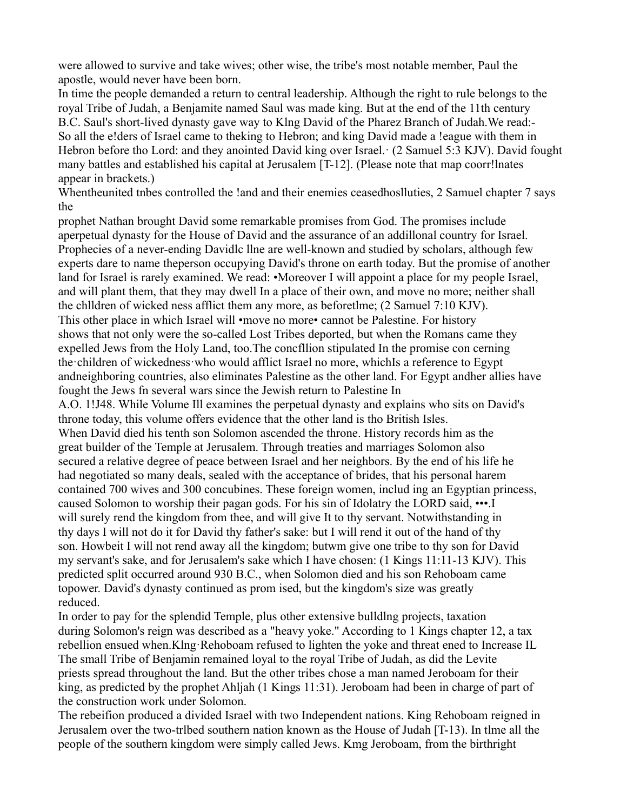were allowed to survive and take wives; other wise, the tribe's most notable member, Paul the apostle, would never have been born.

In time the people demanded a return to central leadership. Although the right to rule belongs to the royal Tribe of Judah, a Benjamite named Saul was made king. But at the end of the 11th century B.C. Saul's short-lived dynasty gave way to Klng David of the Pharez Branch of Judah.We read:- So all the e!ders of Israel came to the king to Hebron; and king David made a !eague with them in Hebron before tho Lord: and they anointed David king over Israel. (2 Samuel 5:3 KJV). David fought many battles and established his capital at Jerusalem [T-12]. (Please note that map coorr!lnates appear in brackets.)

Whentheunited tnbes controlled the !and and their enemies ceasedhoslluties, 2 Samuel chapter 7 says the

prophet Nathan brought David some remarkable promises from God. The promises include aperpetual dynasty for the House of David and the assurance of an addillonal country for Israel. Prophecies of a never-ending Davidlc llne are well-known and studied by scholars, although few experts dare to name theperson occupying David's throne on earth today. But the promise of another land for Israel is rarely examined. We read: •Moreover I will appoint a place for my people Israel, and will plant them, that they may dwell In a place of their own, and move no more; neither shall the chlldren of wicked ness afflict them any more, as beforetlme; (2 Samuel 7:10 KJV). This other place in which Israel will •move no more• cannot be Palestine. For history shows that not only were the so-called Lost Tribes deported, but when the Romans came they expelled Jews from the Holy Land, too.The concfllion stipulated In the promise con cerning the·children of wickedness·who would afflict Israel no more, whichIs a reference to Egypt andneighboring countries, also eliminates Palestine as the other land. For Egypt andher allies have fought the Jews fn several wars since the Jewish return to Palestine In A.O. 1!J48. While Volume Ill examines the perpetual dynasty and explains who sits on David's throne today, this volume offers evidence that the other land is tho British Isles. When David died his tenth son Solomon ascended the throne. History records him as the great builder of the Temple at Jerusalem. Through treaties and marriages Solomon also secured a relative degree of peace between Israel and her neighbors. By the end of his life he had negotiated so many deals, sealed with the acceptance of brides, that his personal harem contained 700 wives and 300 concubines. These foreign women, includ ing an Egyptian princess, caused Solomon to worship their pagan gods. For his sin of Idolatry the LORD said, •••.I will surely rend the kingdom from thee, and will give It to thy servant. Notwithstanding in thy days I will not do it for David thy father's sake: but I will rend it out of the hand of thy son. Howbeit I will not rend away all the kingdom; butwm give one tribe to thy son for David my servant's sake, and for Jerusalem's sake which I have chosen: (1 Kings 11:11-13 KJV). This predicted split occurred around 930 B.C., when Solomon died and his son Rehoboam came topower. David's dynasty continued as prom ised, but the kingdom's size was greatly reduced.

In order to pay for the splendid Temple, plus other extensive bulldlng projects, taxation during Solomon's reign was described as a "heavy yoke." According to 1 Kings chapter 12, a tax rebellion ensued when.Klng·Rehoboam refused to lighten the yoke and threat ened to Increase IL The small Tribe of Benjamin remained loyal to the royal Tribe of Judah, as did the Levite priests spread throughout the land. But the other tribes chose a man named Jeroboam for their king, as predicted by the prophet Ahljah (1 Kings 11:31). Jeroboam had been in charge of part of the construction work under Solomon.

The rebeifion produced a divided Israel with two Independent nations. King Rehoboam reigned in Jerusalem over the two-trlbed southern nation known as the House of Judah [T-13). In tlme all the people of the southern kingdom were simply called Jews. Kmg Jeroboam, from the birthright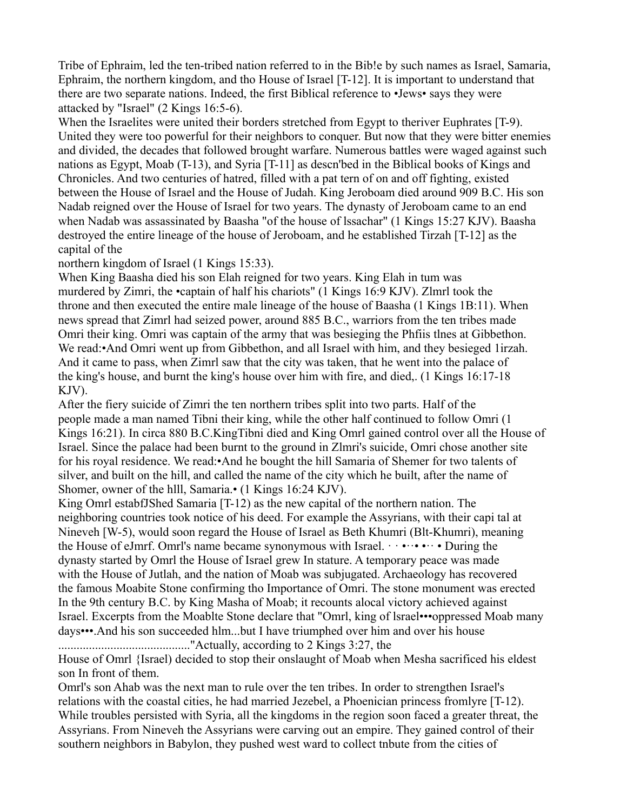Tribe of Ephraim, led the ten-tribed nation referred to in the Bib!e by such names as Israel, Samaria, Ephraim, the northern kingdom, and tho House of Israel [T-12]. It is important to understand that there are two separate nations. Indeed, the first Biblical reference to •Jews• says they were attacked by "Israel" (2 Kings 16:5-6).

When the Israelites were united their borders stretched from Egypt to theriver Euphrates [T-9). United they were too powerful for their neighbors to conquer. But now that they were bitter enemies and divided, the decades that followed brought warfare. Numerous battles were waged against such nations as Egypt, Moab (T-13), and Syria [T-11] as descn'bed in the Biblical books of Kings and Chronicles. And two centuries of hatred, filled with a pat tern of on and off fighting, existed between the House of Israel and the House of Judah. King Jeroboam died around 909 B.C. His son Nadab reigned over the House of Israel for two years. The dynasty of Jeroboam came to an end when Nadab was assassinated by Baasha "of the house of lssachar" (1 Kings 15:27 KJV). Baasha destroyed the entire lineage of the house of Jeroboam, and he established Tirzah [T-12] as the capital of the

northern kingdom of Israel (1 Kings 15:33).

When King Baasha died his son Elah reigned for two years. King Elah in tum was murdered by Zimri, the •captain of half his chariots" (1 Kings 16:9 KJV). Zlmrl took the throne and then executed the entire male lineage of the house of Baasha (1 Kings 1B:11). When news spread that Zimrl had seized power, around 885 B.C., warriors from the ten tribes made Omri their king. Omri was captain of the army that was besieging the Phfiis tlnes at Gibbethon. We read:•And Omri went up from Gibbethon, and all Israel with him, and they besieged 1irzah. And it came to pass, when Zimrl saw that the city was taken, that he went into the palace of the king's house, and burnt the king's house over him with fire, and died,. (1 Kings 16:17-18 KJV).

After the fiery suicide of Zimri the ten northern tribes split into two parts. Half of the people made a man named Tibni their king, while the other half continued to follow Omri (1 Kings 16:21). In circa 880 B.C.KingTibni died and King Omrl gained control over all the House of Israel. Since the palace had been burnt to the ground in Zlmri's suicide, Omri chose another site for his royal residence. We read:•And he bought the hill Samaria of Shemer for two talents of silver, and built on the hill, and called the name of the city which he built, after the name of Shomer, owner of the hlll, Samaria.• (1 Kings 16:24 KJV).

King Omrl estabfJShed Samaria [T-12) as the new capital of the northern nation. The neighboring countries took notice of his deed. For example the Assyrians, with their capi tal at Nineveh [W-5), would soon regard the House of Israel as Beth Khumri (Blt-Khumri), meaning the House of eJmrf. Omrl's name became synonymous with Israel.  $\cdots \cdots \cdots$  During the dynasty started by Omrl the House of Israel grew In stature. A temporary peace was made with the House of Jutlah, and the nation of Moab was subjugated. Archaeology has recovered the famous Moabite Stone confirming tho Importance of Omri. The stone monument was erected In the 9th century B.C. by King Masha of Moab; it recounts alocal victory achieved against Israel. Excerpts from the Moablte Stone declare that "Omrl, king of lsrael•••oppressed Moab many days•••.And his son succeeded hlm...but I have triumphed over him and over his house ..........................................."Actually, according to 2 Kings 3:27, the

House of Omrl {Israel) decided to stop their onslaught of Moab when Mesha sacrificed his eldest son In front of them.

Omrl's son Ahab was the next man to rule over the ten tribes. In order to strengthen Israel's relations with the coastal cities, he had married Jezebel, a Phoenician princess fromlyre [T-12). While troubles persisted with Syria, all the kingdoms in the region soon faced a greater threat, the Assyrians. From Nineveh the Assyrians were carving out an empire. They gained control of their southern neighbors in Babylon, they pushed west ward to collect tnbute from the cities of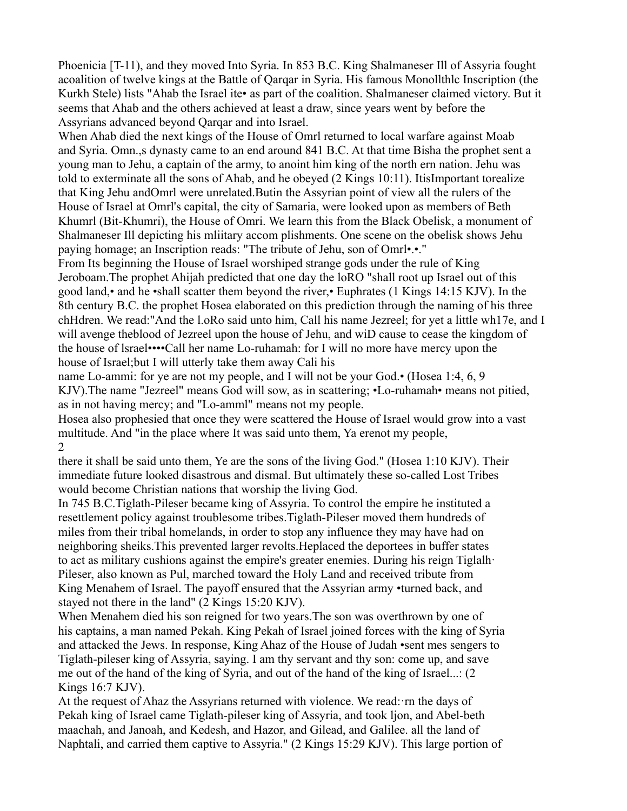Phoenicia [T-11), and they moved Into Syria. In 853 B.C. King Shalmaneser Ill of Assyria fought acoalition of twelve kings at the Battle of Qarqar in Syria. His famous Monollthlc Inscription (the Kurkh Stele) lists "Ahab the Israel ite• as part of the coalition. Shalmaneser claimed victory. But it seems that Ahab and the others achieved at least a draw, since years went by before the Assyrians advanced beyond Qarqar and into Israel.

When Ahab died the next kings of the House of Omrl returned to local warfare against Moab and Syria. Omn.,s dynasty came to an end around 841 B.C. At that time Bisha the prophet sent a young man to Jehu, a captain of the army, to anoint him king of the north ern nation. Jehu was told to exterminate all the sons of Ahab, and he obeyed (2 Kings 10:11). ItisImportant torealize that King Jehu andOmrl were unrelated.Butin the Assyrian point of view all the rulers of the House of Israel at Omrl's capital, the city of Samaria, were looked upon as members of Beth Khumrl (Bit-Khumri), the House of Omri. We learn this from the Black Obelisk, a monument of Shalmaneser Ill depicting his mliitary accom plishments. One scene on the obelisk shows Jehu paying homage; an Inscription reads: "The tribute of Jehu, son of Omrl•.•."

From Its beginning the House of Israel worshiped strange gods under the rule of King Jeroboam.The prophet Ahijah predicted that one day the loRO "shall root up Israel out of this good land,• and he •shall scatter them beyond the river,• Euphrates (1 Kings 14:15 KJV). In the 8th century B.C. the prophet Hosea elaborated on this prediction through the naming of his three chHdren. We read:"And the l.oRo said unto him, Call his name Jezreel; for yet a little wh17e, and I will avenge theblood of Jezreel upon the house of Jehu, and wiD cause to cease the kingdom of the house of lsrael••••Call her name Lo-ruhamah: for I will no more have mercy upon the house of Israel;but I will utterly take them away Cali his

name Lo-ammi: for ye are not my people, and I will not be your God.• (Hosea 1:4, 6, 9 KJV).The name "Jezreel" means God will sow, as in scattering; •Lo-ruhamah• means not pitied, as in not having mercy; and "Lo-amml" means not my people.

Hosea also prophesied that once they were scattered the House of Israel would grow into a vast multitude. And "in the place where It was said unto them, Ya erenot my people,  $\mathfrak{D}$ 

there it shall be said unto them, Ye are the sons of the living God." (Hosea 1:10 KJV). Their immediate future looked disastrous and dismal. But ultimately these so-called Lost Tribes would become Christian nations that worship the living God.

In 745 B.C.Tiglath-Pileser became king of Assyria. To control the empire he instituted a resettlement policy against troublesome tribes.Tiglath-Pileser moved them hundreds of miles from their tribal homelands, in order to stop any influence they may have had on neighboring sheiks.This prevented larger revolts.Heplaced the deportees in buffer states to act as military cushions against the empire's greater enemies. During his reign Tiglalh· Pileser, also known as Pul, marched toward the Holy Land and received tribute from King Menahem of Israel. The payoff ensured that the Assyrian army •turned back, and stayed not there in the land" (2 Kings 15:20 KJV).

When Menahem died his son reigned for two years.The son was overthrown by one of his captains, a man named Pekah. King Pekah of Israel joined forces with the king of Syria and attacked the Jews. In response, King Ahaz of the House of Judah •sent mes sengers to Tiglath-pileser king of Assyria, saying. I am thy servant and thy son: come up, and save me out of the hand of the king of Syria, and out of the hand of the king of Israel...: (2 Kings 16:7 KJV).

At the request of Ahaz the Assyrians returned with violence. We read:·rn the days of Pekah king of Israel came Tiglath-pileser king of Assyria, and took ljon, and Abel-beth maachah, and Janoah, and Kedesh, and Hazor, and Gilead, and Galilee. all the land of Naphtali, and carried them captive to Assyria." (2 Kings 15:29 KJV). This large portion of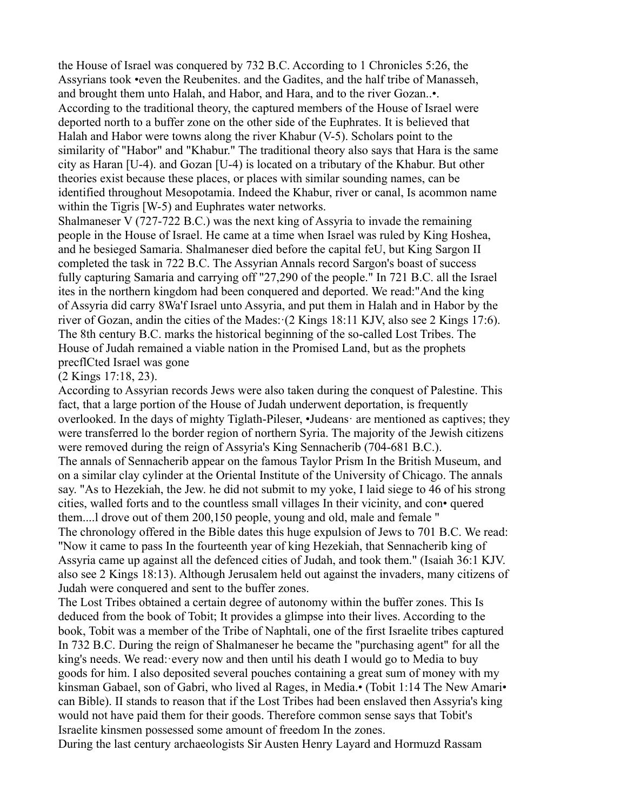the House of Israel was conquered by 732 B.C. According to 1 Chronicles 5:26, the Assyrians took •even the Reubenites. and the Gadites, and the half tribe of Manasseh, and brought them unto Halah, and Habor, and Hara, and to the river Gozan..•. According to the traditional theory, the captured members of the House of Israel were deported north to a buffer zone on the other side of the Euphrates. It is believed that Halah and Habor were towns along the river Khabur (V-5). Scholars point to the similarity of "Habor" and "Khabur." The traditional theory also says that Hara is the same city as Haran [U-4). and Gozan [U-4) is located on a tributary of the Khabur. But other theories exist because these places, or places with similar sounding names, can be identified throughout Mesopotamia. Indeed the Khabur, river or canal, Is acommon name within the Tigris [W-5) and Euphrates water networks.

Shalmaneser V (727-722 B.C.) was the next king of Assyria to invade the remaining people in the House of Israel. He came at a time when Israel was ruled by King Hoshea, and he besieged Samaria. Shalmaneser died before the capital feU, but King Sargon II completed the task in 722 B.C. The Assyrian Annals record Sargon's boast of success fully capturing Samaria and carrying off "27,290 of the people." In 721 B.C. all the Israel ites in the northern kingdom had been conquered and deported. We read:"And the king of Assyria did carry 8Wa'f Israel unto Assyria, and put them in Halah and in Habor by the river of Gozan, andin the cities of the Mades: (2 Kings 18:11 KJV, also see 2 Kings 17:6). The 8th century B.C. marks the historical beginning of the so-called Lost Tribes. The House of Judah remained a viable nation in the Promised Land, but as the prophets precflCted Israel was gone

(2 Kings 17:18, 23).

According to Assyrian records Jews were also taken during the conquest of Palestine. This fact, that a large portion of the House of Judah underwent deportation, is frequently overlooked. In the days of mighty Tiglath-Pileser, •Judeans· are mentioned as captives; they were transferred lo the border region of northern Syria. The majority of the Jewish citizens were removed during the reign of Assyria's King Sennacherib (704-681 B.C.).

The annals of Sennacherib appear on the famous Taylor Prism In the British Museum, and on a similar clay cylinder at the Oriental Institute of the University of Chicago. The annals say. "As to Hezekiah, the Jew. he did not submit to my yoke, I laid siege to 46 of his strong cities, walled forts and to the countless small villages In their vicinity, and con• quered them....l drove out of them 200,150 people, young and old, male and female "

The chronology offered in the Bible dates this huge expulsion of Jews to 701 B.C. We read: "Now it came to pass In the fourteenth year of king Hezekiah, that Sennacherib king of Assyria came up against all the defenced cities of Judah, and took them." (Isaiah 36:1 KJV. also see 2 Kings 18:13). Although Jerusalem held out against the invaders, many citizens of Judah were conquered and sent to the buffer zones.

The Lost Tribes obtained a certain degree of autonomy within the buffer zones. This Is deduced from the book of Tobit; It provides a glimpse into their lives. According to the book, Tobit was a member of the Tribe of Naphtali, one of the first Israelite tribes captured In 732 B.C. During the reign of Shalmaneser he became the "purchasing agent" for all the king's needs. We read:·every now and then until his death I would go to Media to buy goods for him. I also deposited several pouches containing a great sum of money with my kinsman Gabael, son of Gabri, who lived al Rages, in Media.• (Tobit 1:14 The New Amari• can Bible). II stands to reason that if the Lost Tribes had been enslaved then Assyria's king would not have paid them for their goods. Therefore common sense says that Tobit's Israelite kinsmen possessed some amount of freedom In the zones.

During the last century archaeologists Sir Austen Henry Layard and Hormuzd Rassam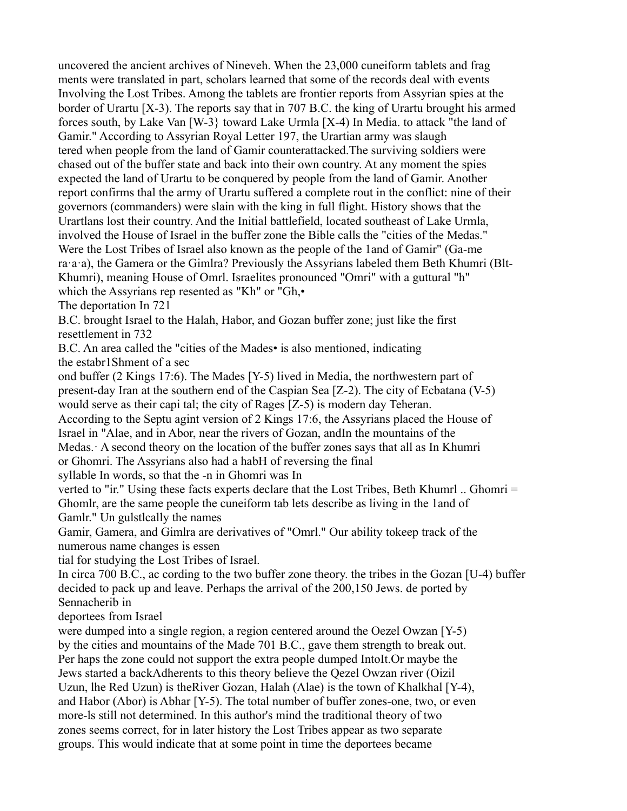uncovered the ancient archives of Nineveh. When the 23,000 cuneiform tablets and frag ments were translated in part, scholars learned that some of the records deal with events Involving the Lost Tribes. Among the tablets are frontier reports from Assyrian spies at the border of Urartu [X-3). The reports say that in 707 B.C. the king of Urartu brought his armed forces south, by Lake Van [W-3} toward Lake Urmla [X-4) In Media. to attack "the land of Gamir." According to Assyrian Royal Letter 197, the Urartian army was slaugh tered when people from the land of Gamir counterattacked.The surviving soldiers were chased out of the buffer state and back into their own country. At any moment the spies expected the land of Urartu to be conquered by people from the land of Gamir. Another report confirms thal the army of Urartu suffered a complete rout in the conflict: nine of their governors (commanders) were slain with the king in full flight. History shows that the Urartlans lost their country. And the Initial battlefield, located southeast of Lake Urmla, involved the House of Israel in the buffer zone the Bible calls the "cities of the Medas." Were the Lost Tribes of Israel also known as the people of the 1and of Gamir" (Ga-me ra·a·a), the Gamera or the Gimlra? Previously the Assyrians labeled them Beth Khumri (Blt-Khumri), meaning House of Omrl. Israelites pronounced "Omri" with a guttural "h" which the Assyrians rep resented as "Kh" or "Gh,•

The deportation In 721

B.C. brought Israel to the Halah, Habor, and Gozan buffer zone; just like the first resettlement in 732

B.C. An area called the "cities of the Mades• is also mentioned, indicating the estabr1Shment of a sec

ond buffer (2 Kings 17:6). The Mades [Y-5) lived in Media, the northwestern part of present-day Iran at the southern end of the Caspian Sea [Z-2). The city of Ecbatana (V-5) would serve as their capi tal; the city of Rages [Z-5) is modern day Teheran.

According to the Septu agint version of 2 Kings 17:6, the Assyrians placed the House of Israel in "Alae, and in Abor, near the rivers of Gozan, andIn the mountains of the

Medas.· A second theory on the location of the buffer zones says that all as In Khumri or Ghomri. The Assyrians also had a habH of reversing the final

syllable In words, so that the -n in Ghomri was In

verted to "ir." Using these facts experts declare that the Lost Tribes, Beth Khumrl .. Ghomri = Ghomlr, are the same people the cuneiform tab lets describe as living in the 1and of Gamlr." Un gulstlcally the names

Gamir, Gamera, and Gimlra are derivatives of "Omrl." Our ability tokeep track of the numerous name changes is essen

tial for studying the Lost Tribes of Israel.

In circa 700 B.C., ac cording to the two buffer zone theory. the tribes in the Gozan [U-4) buffer decided to pack up and leave. Perhaps the arrival of the 200,150 Jews. de ported by Sennacherib in

deportees from Israel

were dumped into a single region, a region centered around the Oezel Owzan [Y-5) by the cities and mountains of the Made 701 B.C., gave them strength to break out. Per haps the zone could not support the extra people dumped IntoIt.Or maybe the Jews started a backAdherents to this theory believe the Qezel Owzan river (Oizil Uzun, lhe Red Uzun) is theRiver Gozan, Halah (Alae) is the town of Khalkhal [Y-4), and Habor (Abor) is Abhar [Y-5). The total number of buffer zones-one, two, or even more-ls still not determined. In this author's mind the traditional theory of two zones seems correct, for in later history the Lost Tribes appear as two separate groups. This would indicate that at some point in time the deportees became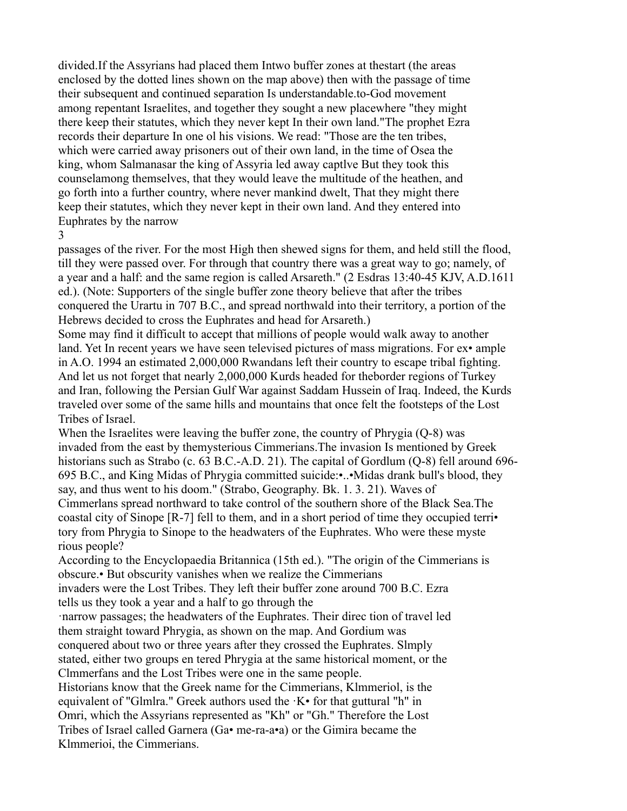divided.If the Assyrians had placed them Intwo buffer zones at thestart (the areas enclosed by the dotted lines shown on the map above) then with the passage of time their subsequent and continued separation Is understandable.to-God movement among repentant Israelites, and together they sought a new placewhere "they might there keep their statutes, which they never kept In their own land."The prophet Ezra records their departure In one ol his visions. We read: "Those are the ten tribes, which were carried away prisoners out of their own land, in the time of Osea the king, whom Salmanasar the king of Assyria led away captlve But they took this counselamong themselves, that they would leave the multitude of the heathen, and go forth into a further country, where never mankind dwelt, That they might there keep their statutes, which they never kept in their own land. And they entered into Euphrates by the narrow

3

passages of the river. For the most High then shewed signs for them, and held still the flood, till they were passed over. For through that country there was a great way to go; namely, of a year and a half: and the same region is called Arsareth." (2 Esdras 13:40-45 KJV, A.D.1611 ed.). (Note: Supporters of the single buffer zone theory believe that after the tribes conquered the Urartu in 707 B.C., and spread northwald into their territory, a portion of the Hebrews decided to cross the Euphrates and head for Arsareth.)

Some may find it difficult to accept that millions of people would walk away to another land. Yet In recent years we have seen televised pictures of mass migrations. For ex• ample in A.O. 1994 an estimated 2,000,000 Rwandans left their country to escape tribal fighting. And let us not forget that nearly 2,000,000 Kurds headed for theborder regions of Turkey and Iran, following the Persian Gulf War against Saddam Hussein of Iraq. Indeed, the Kurds traveled over some of the same hills and mountains that once felt the footsteps of the Lost Tribes of Israel.

When the Israelites were leaving the buffer zone, the country of Phrygia (Q-8) was invaded from the east by themysterious Cimmerians.The invasion Is mentioned by Greek historians such as Strabo (c. 63 B.C.-A.D. 21). The capital of Gordlum (Q-8) fell around 696-695 B.C., and King Midas of Phrygia committed suicide:•..•Midas drank bull's blood, they say, and thus went to his doom." (Strabo, Geography. Bk. 1. 3. 21). Waves of Cimmerlans spread northward to take control of the southern shore of the Black Sea.The coastal city of Sinope [R-7] fell to them, and in a short period of time they occupied terri• tory from Phrygia to Sinope to the headwaters of the Euphrates. Who were these myste rious people?

According to the Encyclopaedia Britannica (15th ed.). "The origin of the Cimmerians is obscure.• But obscurity vanishes when we realize the Cimmerians

invaders were the Lost Tribes. They left their buffer zone around 700 B.C. Ezra tells us they took a year and a half to go through the

·narrow passages; the headwaters of the Euphrates. Their direc tion of travel led them straight toward Phrygia, as shown on the map. And Gordium was conquered about two or three years after they crossed the Euphrates. Slmply stated, either two groups en tered Phrygia at the same historical moment, or the Clmmerfans and the Lost Tribes were one in the same people. Historians know that the Greek name for the Cimmerians, Klmmeriol, is the

equivalent of "Glmlra." Greek authors used the  $K\bullet$  for that guttural "h" in Omri, which the Assyrians represented as "Kh" or "Gh." Therefore the Lost Tribes of Israel called Garnera (Ga• me-ra-a•a) or the Gimira became the Klmmerioi, the Cimmerians.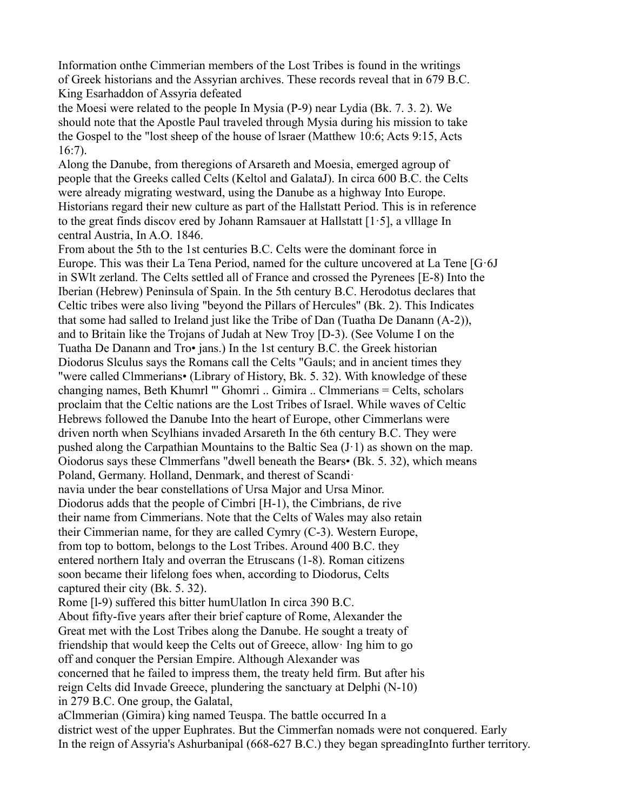Information onthe Cimmerian members of the Lost Tribes is found in the writings of Greek historians and the Assyrian archives. These records reveal that in 679 B.C. King Esarhaddon of Assyria defeated

the Moesi were related to the people In Mysia (P-9) near Lydia (Bk. 7. 3. 2). We should note that the Apostle Paul traveled through Mysia during his mission to take the Gospel to the "lost sheep of the house of lsraer (Matthew 10:6; Acts 9:15, Acts 16:7).

Along the Danube, from theregions of Arsareth and Moesia, emerged agroup of people that the Greeks called Celts (Keltol and GalataJ). In circa 600 B.C. the Celts were already migrating westward, using the Danube as a highway Into Europe. Historians regard their new culture as part of the Hallstatt Period. This is in reference to the great finds discov ered by Johann Ramsauer at Hallstatt  $[1.5]$ , a village In central Austria, In A.O. 1846.

From about the 5th to the 1st centuries B.C. Celts were the dominant force in Europe. This was their La Tena Period, named for the culture uncovered at La Tene  $[G6]$ in SWlt zerland. The Celts settled all of France and crossed the Pyrenees [E-8) Into the Iberian (Hebrew) Peninsula of Spain. In the 5th century B.C. Herodotus declares that Celtic tribes were also living "beyond the Pillars of Hercules" (Bk. 2). This Indicates that some had salled to Ireland just like the Tribe of Dan (Tuatha De Danann (A-2)), and to Britain like the Trojans of Judah at New Troy [D-3). (See Volume I on the Tuatha De Danann and Tro• jans.) In the 1st century B.C. the Greek historian Diodorus Slculus says the Romans call the Celts "Gauls; and in ancient times they "were called Clmmerians• (Library of History, Bk. 5. 32). With knowledge of these changing names, Beth Khumrl "' Ghomri .. Gimira .. Clmmerians = Celts, scholars proclaim that the Celtic nations are the Lost Tribes of Israel. While waves of Celtic Hebrews followed the Danube Into the heart of Europe, other Cimmerlans were driven north when Scylhians invaded Arsareth In the 6th century B.C. They were pushed along the Carpathian Mountains to the Baltic Sea  $(J \cdot 1)$  as shown on the map. Oiodorus says these Clmmerfans "dwell beneath the Bears• (Bk. 5. 32), which means Poland, Germany. Holland, Denmark, and therest of Scandi· navia under the bear constellations of Ursa Major and Ursa Minor. Diodorus adds that the people of Cimbri [H-1), the Cimbrians, de rive their name from Cimmerians. Note that the Celts of Wales may also retain their Cimmerian name, for they are called Cymry (C-3). Western Europe, from top to bottom, belongs to the Lost Tribes. Around 400 B.C. they entered northern Italy and overran the Etruscans (1-8). Roman citizens soon became their lifelong foes when, according to Diodorus, Celts captured their city (Bk. 5. 32).

Rome [l-9) suffered this bitter humUlatlon In circa 390 B.C. About fifty-five years after their brief capture of Rome, Alexander the Great met with the Lost Tribes along the Danube. He sought a treaty of friendship that would keep the Celts out of Greece, allow· Ing him to go off and conquer the Persian Empire. Although Alexander was concerned that he failed to impress them, the treaty held firm. But after his reign Celts did Invade Greece, plundering the sanctuary at Delphi (N-10) in 279 B.C. One group, the Galatal,

aClmmerian (Gimira) king named Teuspa. The battle occurred In a district west of the upper Euphrates. But the Cimmerfan nomads were not conquered. Early In the reign of Assyria's Ashurbanipal (668-627 B.C.) they began spreadingInto further territory.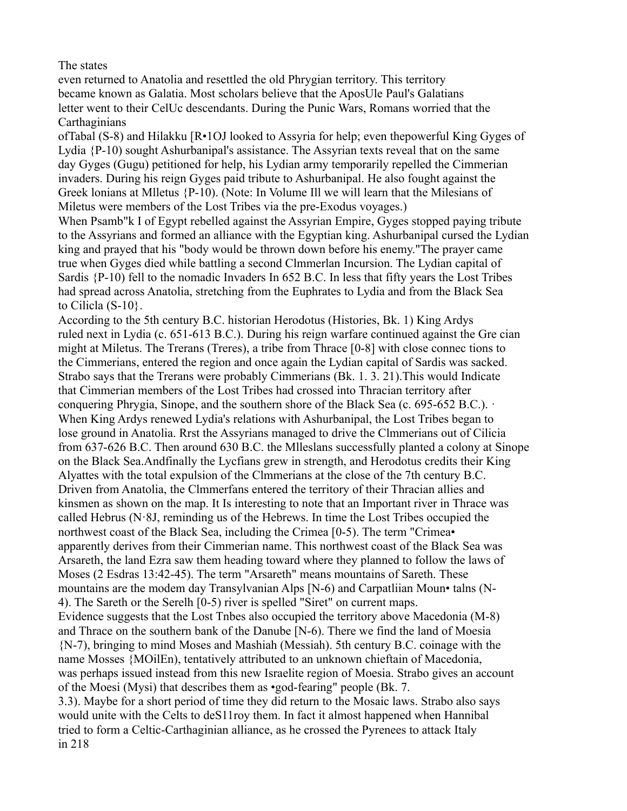The states

even returned to Anatolia and resettled the old Phrygian territory. This territory became known as Galatia. Most scholars believe that the AposUle Paul's Galatians letter went to their CelUc descendants. During the Punic Wars, Romans worried that the **Carthaginians** 

ofTabal (S-8) and Hilakku [R•1OJ looked to Assyria for help; even thepowerful King Gyges of Lydia {P-10) sought Ashurbanipal's assistance. The Assyrian texts reveal that on the same day Gyges (Gugu) petitioned for help, his Lydian army temporarily repelled the Cimmerian invaders. During his reign Gyges paid tribute to Ashurbanipal. He also fought against the Greek lonians at Mlletus {P-10). (Note: In Volume Ill we will learn that the Milesians of Miletus were members of the Lost Tribes via the pre-Exodus voyages.)

When Psamb"k I of Egypt rebelled against the Assyrian Empire, Gyges stopped paying tribute to the Assyrians and formed an alliance with the Egyptian king. Ashurbanipal cursed the Lydian king and prayed that his "body would be thrown down before his enemy."The prayer came true when Gyges died while battling a second Clmmerlan Incursion. The Lydian capital of Sardis {P-10) fell to the nomadic Invaders In 652 B.C. In less that fifty years the Lost Tribes had spread across Anatolia, stretching from the Euphrates to Lydia and from the Black Sea to Cilicla  $(S-10)$ .

According to the 5th century B.C. historian Herodotus (Histories, Bk. 1) King Ardys ruled next in Lydia (c. 651-613 B.C.). During his reign warfare continued against the Gre cian might at Miletus. The Trerans (Treres), a tribe from Thrace [0-8] with close connec tions to the Cimmerians, entered the region and once again the Lydian capital of Sardis was sacked. Strabo says that the Trerans were probably Cimmerians (Bk. 1. 3. 21).This would Indicate that Cimmerian members of the Lost Tribes had crossed into Thracian territory after conquering Phrygia, Sinope, and the southern shore of the Black Sea (c. 695-652 B.C.).  $\cdot$ When King Ardys renewed Lydia's relations with Ashurbanipal, the Lost Tribes began to lose ground in Anatolia. Rrst the Assyrians managed to drive the Clmmerians out of Cilicia from 637-626 B.C. Then around 630 B.C. the Mlleslans successfully planted a colony at Sinope on the Black Sea.Andfinally the Lycfians grew in strength, and Herodotus credits their King Alyattes with the total expulsion of the Clmmerians at the close of the 7th century B.C. Driven from Anatolia, the Clmmerfans entered the territory of their Thracian allies and kinsmen as shown on the map. It Is interesting to note that an Important river in Thrace was called Hebrus ( $N.8J$ , reminding us of the Hebrews. In time the Lost Tribes occupied the northwest coast of the Black Sea, including the Crimea [0-5). The term "Crimea• apparently derives from their Cimmerian name. This northwest coast of the Black Sea was Arsareth, the land Ezra saw them heading toward where they planned to follow the laws of Moses (2 Esdras 13:42-45). The term "Arsareth" means mountains of Sareth. These mountains are the modem day Transylvanian Alps [N-6) and Carpatliian Moun• talns (N-4). The Sareth or the Serelh [0-5) river is spelled "Siret" on current maps. Evidence suggests that the Lost Tnbes also occupied the territory above Macedonia (M-8) and Thrace on the southern bank of the Danube [N-6). There we find the land of Moesia {N-7), bringing to mind Moses and Mashiah (Messiah). 5th century B.C. coinage with the name Mosses {MOilEn), tentatively attributed to an unknown chieftain of Macedonia, was perhaps issued instead from this new Israelite region of Moesia. Strabo gives an account of the Moesi (Mysi) that describes them as •god-fearing" people (Bk. 7. 3.3). Maybe for a short period of time they did return to the Mosaic laws. Strabo also says would unite with the Celts to deS11roy them. In fact it almost happened when Hannibal

tried to form a Celtic-Carthaginian alliance, as he crossed the Pyrenees to attack Italy in 218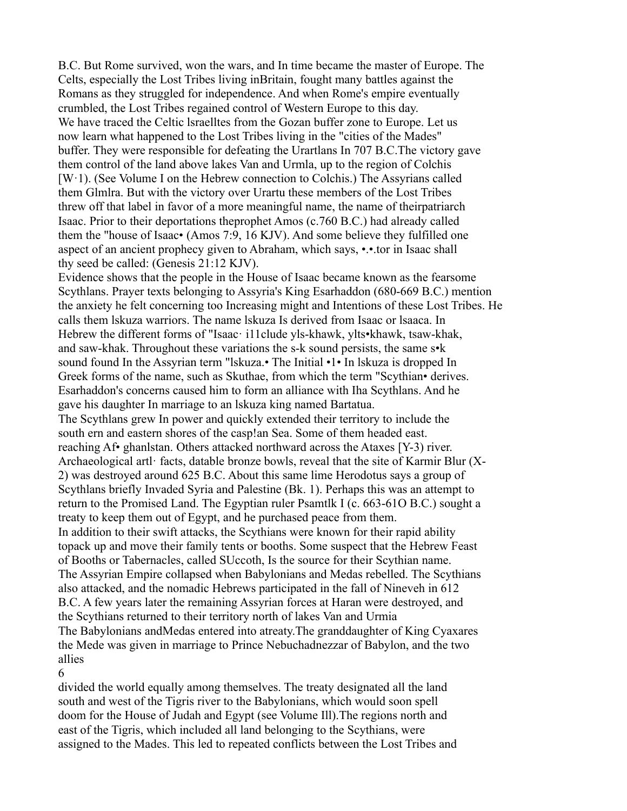B.C. But Rome survived, won the wars, and In time became the master of Europe. The Celts, especially the Lost Tribes living inBritain, fought many battles against the Romans as they struggled for independence. And when Rome's empire eventually crumbled, the Lost Tribes regained control of Western Europe to this day. We have traced the Celtic lsraelltes from the Gozan buffer zone to Europe. Let us now learn what happened to the Lost Tribes living in the "cities of the Mades" buffer. They were responsible for defeating the Urartlans In 707 B.C.The victory gave them control of the land above lakes Van and Urmla, up to the region of Colchis [W·1). (See Volume I on the Hebrew connection to Colchis.) The Assyrians called them Glmlra. But with the victory over Urartu these members of the Lost Tribes threw off that label in favor of a more meaningful name, the name of theirpatriarch Isaac. Prior to their deportations theprophet Amos (c.760 B.C.) had already called them the "house of Isaac• (Amos 7:9, 16 KJV). And some believe they fulfilled one aspect of an ancient prophecy given to Abraham, which says, •.•.tor in Isaac shall thy seed be called: (Genesis 21:12 KJV).

Evidence shows that the people in the House of Isaac became known as the fearsome Scythlans. Prayer texts belonging to Assyria's King Esarhaddon (680-669 B.C.) mention the anxiety he felt concerning too Increasing might and Intentions of these Lost Tribes. He calls them lskuza warriors. The name lskuza Is derived from Isaac or lsaaca. In Hebrew the different forms of "Isaac· i11clude yls-khawk, ylts•khawk, tsaw-khak, and saw-khak. Throughout these variations the s-k sound persists, the same s•k sound found In the Assyrian term "lskuza.• The Initial •1• In lskuza is dropped In Greek forms of the name, such as Skuthae, from which the term "Scythian• derives. Esarhaddon's concerns caused him to form an alliance with Iha Scythlans. And he gave his daughter In marriage to an lskuza king named Bartatua. The Scythlans grew In power and quickly extended their territory to include the south ern and eastern shores of the casp!an Sea. Some of them headed east. reaching Af• ghanlstan. Others attacked northward across the Ataxes [Y-3) river. Archaeological artl· facts, datable bronze bowls, reveal that the site of Karmir Blur (X-2) was destroyed around 625 B.C. About this same lime Herodotus says a group of Scythlans briefly Invaded Syria and Palestine (Bk. 1). Perhaps this was an attempt to return to the Promised Land. The Egyptian ruler Psamtlk I (c. 663-61O B.C.) sought a treaty to keep them out of Egypt, and he purchased peace from them. In addition to their swift attacks, the Scythians were known for their rapid ability topack up and move their family tents or booths. Some suspect that the Hebrew Feast of Booths or Tabernacles, called SUccoth, Is the source for their Scythian name. The Assyrian Empire collapsed when Babylonians and Medas rebelled. The Scythians also attacked, and the nomadic Hebrews participated in the fall of Nineveh in 612 B.C. A few years later the remaining Assyrian forces at Haran were destroyed, and the Scythians returned to their territory north of lakes Van and Urmia The Babylonians andMedas entered into atreaty.The granddaughter of King Cyaxares the Mede was given in marriage to Prince Nebuchadnezzar of Babylon, and the two allies

# 6

divided the world equally among themselves. The treaty designated all the land south and west of the Tigris river to the Babylonians, which would soon spell doom for the House of Judah and Egypt (see Volume Ill).The regions north and east of the Tigris, which included all land belonging to the Scythians, were assigned to the Mades. This led to repeated conflicts between the Lost Tribes and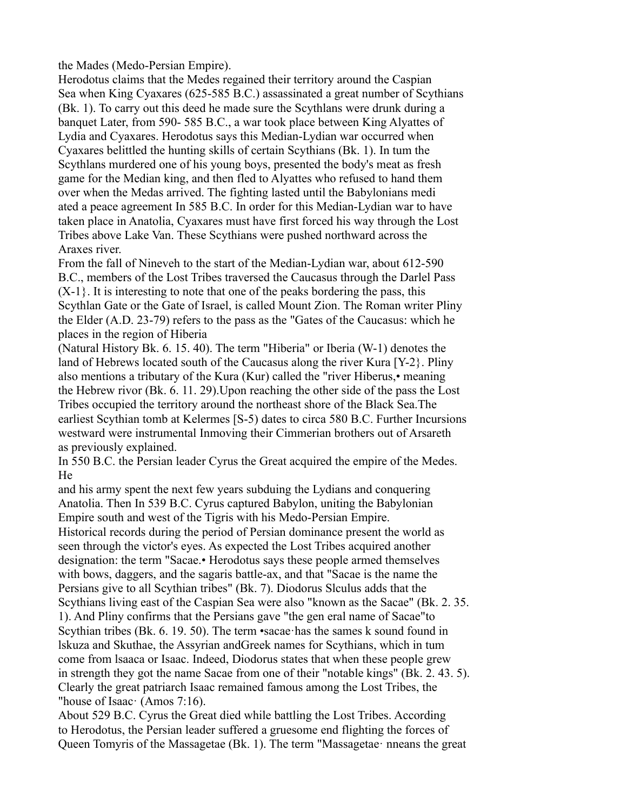the Mades (Medo-Persian Empire).

Herodotus claims that the Medes regained their territory around the Caspian Sea when King Cyaxares (625-585 B.C.) assassinated a great number of Scythians (Bk. 1). To carry out this deed he made sure the Scythlans were drunk during a banquet Later, from 590- 585 B.C., a war took place between King Alyattes of Lydia and Cyaxares. Herodotus says this Median-Lydian war occurred when Cyaxares belittled the hunting skills of certain Scythians (Bk. 1). In tum the Scythlans murdered one of his young boys, presented the body's meat as fresh game for the Median king, and then fled to Alyattes who refused to hand them over when the Medas arrived. The fighting lasted until the Babylonians medi ated a peace agreement In 585 B.C. In order for this Median-Lydian war to have taken place in Anatolia, Cyaxares must have first forced his way through the Lost Tribes above Lake Van. These Scythians were pushed northward across the Araxes river.

From the fall of Nineveh to the start of the Median-Lydian war, about 612-590 B.C., members of the Lost Tribes traversed the Caucasus through the Darlel Pass  $(X-1)$ . It is interesting to note that one of the peaks bordering the pass, this Scythlan Gate or the Gate of Israel, is called Mount Zion. The Roman writer Pliny the Elder (A.D. 23-79) refers to the pass as the "Gates of the Caucasus: which he places in the region of Hiberia

(Natural History Bk. 6. 15. 40). The term "Hiberia" or Iberia (W-1) denotes the land of Hebrews located south of the Caucasus along the river Kura [Y-2}. Pliny also mentions a tributary of the Kura (Kur) called the "river Hiberus,• meaning the Hebrew rivor (Bk. 6. 11. 29).Upon reaching the other side of the pass the Lost Tribes occupied the territory around the northeast shore of the Black Sea.The earliest Scythian tomb at Kelermes [S-5) dates to circa 580 B.C. Further Incursions westward were instrumental Inmoving their Cimmerian brothers out of Arsareth as previously explained.

In 550 B.C. the Persian leader Cyrus the Great acquired the empire of the Medes. He

and his army spent the next few years subduing the Lydians and conquering Anatolia. Then In 539 B.C. Cyrus captured Babylon, uniting the Babylonian Empire south and west of the Tigris with his Medo-Persian Empire.

Historical records during the period of Persian dominance present the world as seen through the victor's eyes. As expected the Lost Tribes acquired another designation: the term "Sacae.• Herodotus says these people armed themselves with bows, daggers, and the sagaris battle-ax, and that "Sacae is the name the Persians give to all Scythian tribes" (Bk. 7). Diodorus Slculus adds that the Scythians living east of the Caspian Sea were also "known as the Sacae" (Bk. 2. 35. 1). And Pliny confirms that the Persians gave "the gen eral name of Sacae"to Scythian tribes (Bk. 6. 19. 50). The term •sacae·has the sames k sound found in lskuza and Skuthae, the Assyrian andGreek names for Scythians, which in tum come from lsaaca or Isaac. Indeed, Diodorus states that when these people grew in strength they got the name Sacae from one of their "notable kings" (Bk. 2. 43. 5). Clearly the great patriarch Isaac remained famous among the Lost Tribes, the "house of Isaac· (Amos 7:16).

About 529 B.C. Cyrus the Great died while battling the Lost Tribes. According to Herodotus, the Persian leader suffered a gruesome end flighting the forces of Queen Tomyris of the Massagetae (Bk. 1). The term "Massagetae· nneans the great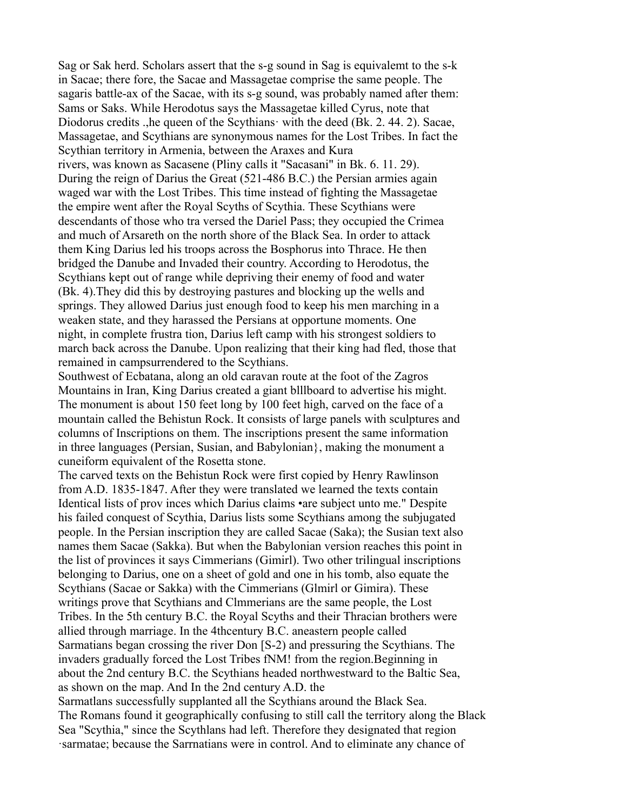Sag or Sak herd. Scholars assert that the s-g sound in Sag is equivalemt to the s-k in Sacae; there fore, the Sacae and Massagetae comprise the same people. The sagaris battle-ax of the Sacae, with its s-g sound, was probably named after them: Sams or Saks. While Herodotus says the Massagetae killed Cyrus, note that Diodorus credits .,he queen of the Scythians· with the deed (Bk. 2. 44. 2). Sacae, Massagetae, and Scythians are synonymous names for the Lost Tribes. In fact the Scythian territory in Armenia, between the Araxes and Kura rivers, was known as Sacasene (Pliny calls it "Sacasani" in Bk. 6. 11. 29). During the reign of Darius the Great (521-486 B.C.) the Persian armies again waged war with the Lost Tribes. This time instead of fighting the Massagetae the empire went after the Royal Scyths of Scythia. These Scythians were descendants of those who tra versed the Dariel Pass; they occupied the Crimea and much of Arsareth on the north shore of the Black Sea. In order to attack them King Darius led his troops across the Bosphorus into Thrace. He then bridged the Danube and Invaded their country. According to Herodotus, the Scythians kept out of range while depriving their enemy of food and water (Bk. 4).They did this by destroying pastures and blocking up the wells and springs. They allowed Darius just enough food to keep his men marching in a weaken state, and they harassed the Persians at opportune moments. One night, in complete frustra tion, Darius left camp with his strongest soldiers to march back across the Danube. Upon realizing that their king had fled, those that remained in campsurrendered to the Scythians.

Southwest of Ecbatana, along an old caravan route at the foot of the Zagros Mountains in Iran, King Darius created a giant blllboard to advertise his might. The monument is about 150 feet long by 100 feet high, carved on the face of a mountain called the Behistun Rock. It consists of large panels with sculptures and columns of Inscriptions on them. The inscriptions present the same information in three languages (Persian, Susian, and Babylonian}, making the monument a cuneiform equivalent of the Rosetta stone.

The carved texts on the Behistun Rock were first copied by Henry Rawlinson from A.D. 1835-1847. After they were translated we learned the texts contain Identical lists of prov inces which Darius claims •are subject unto me." Despite his failed conquest of Scythia, Darius lists some Scythians among the subjugated people. In the Persian inscription they are called Sacae (Saka); the Susian text also names them Sacae (Sakka). But when the Babylonian version reaches this point in the list of provinces it says Cimmerians (Gimirl). Two other trilingual inscriptions belonging to Darius, one on a sheet of gold and one in his tomb, also equate the Scythians (Sacae or Sakka) with the Cimmerians (Glmirl or Gimira). These writings prove that Scythians and Clmmerians are the same people, the Lost Tribes. In the 5th century B.C. the Royal Scyths and their Thracian brothers were allied through marriage. In the 4thcentury B.C. aneastern people called Sarmatians began crossing the river Don [S-2) and pressuring the Scythians. The invaders gradually forced the Lost Tribes fNM! from the region.Beginning in about the 2nd century B.C. the Scythians headed northwestward to the Baltic Sea, as shown on the map. And In the 2nd century A.D. the Sarmatlans successfully supplanted all the Scythians around the Black Sea. The Romans found it geographically confusing to still call the territory along the Black Sea "Scythia," since the Scythlans had left. Therefore they designated that region ·sarmatae; because the Sarrnatians were in control. And to eliminate any chance of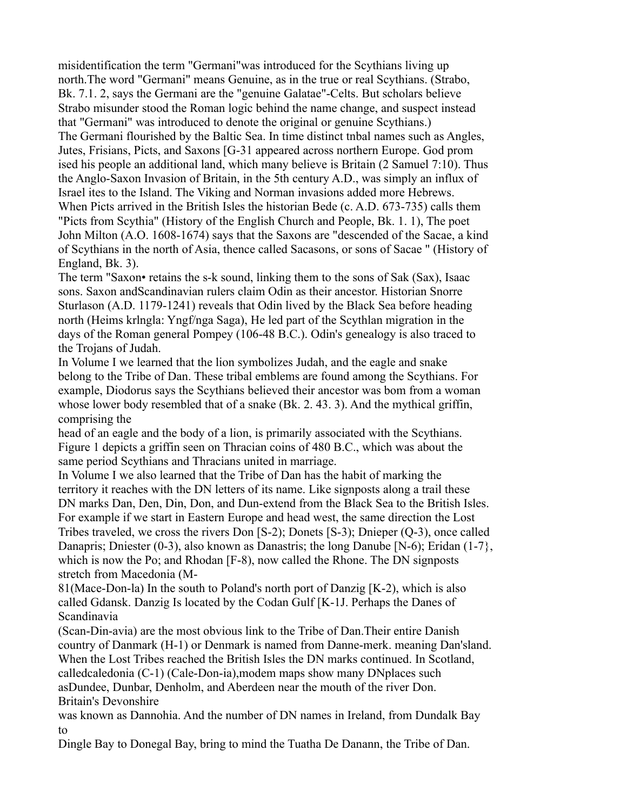misidentification the term "Germani"was introduced for the Scythians living up north.The word "Germani" means Genuine, as in the true or real Scythians. (Strabo, Bk. 7.1. 2, says the Germani are the "genuine Galatae"-Celts. But scholars believe Strabo misunder stood the Roman logic behind the name change, and suspect instead that "Germani" was introduced to denote the original or genuine Scythians.) The Germani flourished by the Baltic Sea. In time distinct tnbal names such as Angles, Jutes, Frisians, Picts, and Saxons [G-31 appeared across northern Europe. God prom ised his people an additional land, which many believe is Britain (2 Samuel 7:10). Thus the Anglo-Saxon Invasion of Britain, in the 5th century A.D., was simply an influx of Israel ites to the Island. The Viking and Norman invasions added more Hebrews. When Picts arrived in the British Isles the historian Bede (c. A.D. 673-735) calls them "Picts from Scythia" (History of the English Church and People, Bk. 1. 1), The poet John Milton (A.O. 1608-1674) says that the Saxons are "descended of the Sacae, a kind of Scythians in the north of Asia, thence called Sacasons, or sons of Sacae " (History of England, Bk. 3).

The term "Saxon• retains the s-k sound, linking them to the sons of Sak (Sax), Isaac sons. Saxon andScandinavian rulers claim Odin as their ancestor. Historian Snorre Sturlason (A.D. 1179-1241) reveals that Odin lived by the Black Sea before heading north (Heims krlngla: Yngf/nga Saga), He led part of the Scythlan migration in the days of the Roman general Pompey (106-48 B.C.). Odin's genealogy is also traced to the Trojans of Judah.

In Volume I we learned that the lion symbolizes Judah, and the eagle and snake belong to the Tribe of Dan. These tribal emblems are found among the Scythians. For example, Diodorus says the Scythians believed their ancestor was bom from a woman whose lower body resembled that of a snake (Bk. 2. 43. 3). And the mythical griffin, comprising the

head of an eagle and the body of a lion, is primarily associated with the Scythians. Figure 1 depicts a griffin seen on Thracian coins of 480 B.C., which was about the same period Scythians and Thracians united in marriage.

In Volume I we also learned that the Tribe of Dan has the habit of marking the territory it reaches with the DN letters of its name. Like signposts along a trail these DN marks Dan, Den, Din, Don, and Dun-extend from the Black Sea to the British Isles. For example if we start in Eastern Europe and head west, the same direction the Lost Tribes traveled, we cross the rivers Don [S-2); Donets [S-3); Dnieper (Q-3), once called Danapris; Dniester (0-3), also known as Danastris; the long Danube [N-6); Eridan (1-7}, which is now the Po; and Rhodan [F-8), now called the Rhone. The DN signposts stretch from Macedonia (M-

81(Mace-Don-la) In the south to Poland's north port of Danzig [K-2), which is also called Gdansk. Danzig Is located by the Codan Gulf [K-1J. Perhaps the Danes of Scandinavia

(Scan-Din-avia) are the most obvious link to the Tribe of Dan.Their entire Danish country of Danmark (H-1) or Denmark is named from Danne-merk. meaning Dan'sland. When the Lost Tribes reached the British Isles the DN marks continued. In Scotland, calledcaledonia (C-1) (Cale-Don-ia),modem maps show many DNplaces such asDundee, Dunbar, Denholm, and Aberdeen near the mouth of the river Don. Britain's Devonshire

was known as Dannohia. And the number of DN names in Ireland, from Dundalk Bay to

Dingle Bay to Donegal Bay, bring to mind the Tuatha De Danann, the Tribe of Dan.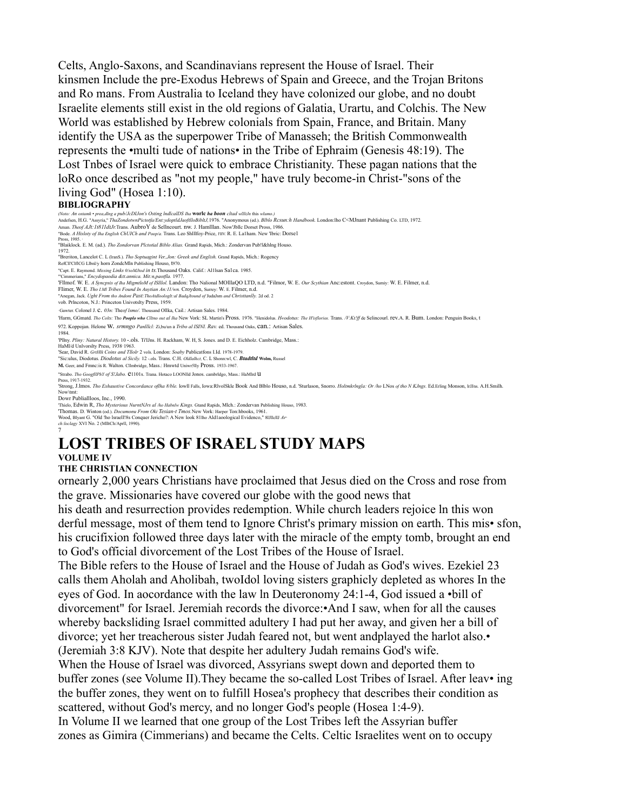Celts, Anglo-Saxons, and Scandinavians represent the House of Israel. Their kinsmen Include the pre-Exodus Hebrews of Spain and Greece, and the Trojan Britons and Ro mans. From Australia to Iceland they have colonized our globe, and no doubt Israelite elements still exist in the old regions of Galatia, Urartu, and Colchis. The New World was established by Hebrew colonials from Spain, France, and Britain. Many identify the USA as the superpower Tribe of Manasseh; the British Commonwealth represents the •multi tude of nations• in the Tribe of Ephraim (Genesis 48:19). The Lost Tnbes of Israel were quick to embrace Christianity. These pagan nations that the loRo once described as "not my people," have truly become-in Christ-"sons of the living God" (Hosea 1:10).

#### **BIBLIOGRAPHY**

*(Noto: An ostamk* • *prea,dlng a pub/JcDIJon's Osting lndlcalDS Iha* **worlc** *ha boon cltad wllltJn* this *wlumo.)*

Andefsen, H.G. "Assyria," *ThaZondotwnPictotfa/Ent:ydoptldJaoftlloBibltJ,*1976. "Anonymous (ed.). *Blblo Rcsun:h Handbook.* London:lho C<MJnant Publishing Co. LTD, 1972.

Aman. *Theof AJt: 1t811dtJr.*Trans. AubroY de Sellncourt. nw. J. Hamlllan. Now'Jbllc Dorset Pross, 1986.<br>"Bode. *A Hisloty of tha English ChUICh and Poop/a.* Trans. Leo Shlllfoy-Price, FIIV. R. E. La1ham. New Tbric: Dorse1

Pross, 1985. · "Blaiklock. E. M. (ad.). *Tho Zondorvan Plctotial Biblo Alias.* Grand Rapids, Mich.: Zondervan Pub!l&hlng Houso.

1972.

"Breriton, Lancelot C. L (lranS.). *Tho Soptuagint Ver.,Jon: Greek and English.* Grand Rapids, Mich.: Rogency RefCll'ClflCG Llbnl/y horn ZondcMln Publishing Houso, t970.

"Capt. E. Raymond. *Missing Links 0/soMJtod in ts.*Thousand Oaks. Calif.: Al1lsan Sa1ca. 1985.

"'Cimmerians," *Encydopaodia &tt.annica. Mit:n.paotfla.* 1977.<br>'Filmof. W. E. *A Synepsis of the MigmiloM of Silliol.* Landon: Tho Nalional MOlllaQO LTD, n.d. "Filmor, W. E. *Our Scythian* Anc:estont. Croydon, Sumiy: W. E.

"Anegan, Jack. *Ught From tho Andont Past:ThoAtdloologlt:al BadqJtound of* JudaJsm *and Christtanlly.* 2d od. 2

vob. Prlncoton, N.J.: Princeton Univotslty Press, 1959.

·Gawter. Colonel J. c. *03n:* The*of lsmo/.* Thousand Ollka, Cail.: Artisan Sales. 1984.

'Harm, GGmatd. Tho Colts: Tho Pooplo who Cllino out al Iha New Vork: SL Martin's Pross. 1976. "Hendolus. Heodotus: The H'isflorios. Trans. /V:Kt!ff de Selincourl. rev.A. R. Burn. London: Penguin Books, t 972. Koppojan. Helone w. *srmngo Panlllcl:* Zi,bu/un a *Tribo al ISINI. Rav.* ed. Thousand Oaks, can.: Artisan Sales.

1984.<br>'Pllny*. Pliny: Natural History*. 10 **-.ols.** Ti'JJns. H. Rackham, W. H, S. Jones. and D. E. Eichholz. Cambridge, Mass.:<br>HAMI'd Unlvorslty Press, 1938·1963.<br>'Sear, David R. *GrHllk Coins and Tllolr* 2 vols. London:

"Sic:ulus, Diodotus. *Diodotus al Sicily.* 12 -.ols. Trans. C.H. *Oldlalhct,* C. L Shonn:wl, C. *Btadtltd* **Wolm,** Russel **M.** Geer, and Fmnc:is R. Walton. Cllmbridge, Mass.: Hmwtd Uniwr5lly Pross. 1933-1967.

"Strabo. *Tho GoogfllPhY of S!Jabo.* e1101s. Trana. Hotaco LOONlld Jonos. cambrldgo, Mass.: HaMlrd u

Press, 1917-1932.

'Strong, J.Imos. Tho Exhaustive Concordance of tha 8/ble. lowll Falls, Iowa:RIvolSkle Book And Blblo Houso, n.d. 'Sturlason, Snorro. HoltmkrIngla: Or /ho LNos of tho N KJngs. Ed.Erling Monson, IrJJns. A.H.Smilh.<br>Now\tmt: Now\tmt: Dowr Publiallloos, Inc., 1990.

Thielo, Edwin R, *Tho Mysterious NurntNJrs al /ho Habnlw Kings*. Gtand Rapids, Mlch.: Zondervan Publishing Houso, 1983.<br>'Thomas. D. Winton (od.). *Documonu From Oki Tesian-t Tmos.* New Vork: Harper Ton:hbooks, 1961.<br>Wood,

*ch:loclagy* XVI No. 2 (MlltCh/Aprll, 1990). 7

# **LOST TRIBES OF ISRAEL STUDY MAPS**

### **VOLUME IV**

**THE CHRISTIAN CONNECTION**

ornearly 2,000 years Christians have proclaimed that Jesus died on the Cross and rose from the grave. Missionaries have covered our globe with the good news that

his death and resurrection provides redemption. While church leaders rejoice ln this won derful message, most of them tend to Ignore Christ's primary mission on earth. This mis• sfon, his crucifixion followed three days later with the miracle of the empty tomb, brought an end to God's official divorcement of the Lost Tribes of the House of Israel.

The Bible refers to the House of Israel and the House of Judah as God's wives. Ezekiel 23 calls them Aholah and Aholibah, twoIdol loving sisters graphicly depleted as whores In the eyes of God. In aocordance with the law ln Deuteronomy 24:1-4, God issued a •bill of divorcement" for Israel. Jeremiah records the divorce:•And I saw, when for all the causes whereby backsliding Israel committed adultery I had put her away, and given her a bill of divorce; yet her treacherous sister Judah feared not, but went andplayed the harlot also.• (Jeremiah 3:8 KJV). Note that despite her adultery Judah remains God's wife. When the House of Israel was divorced, Assyrians swept down and deported them to buffer zones (see Volume II).They became the so-called Lost Tribes of Israel. After leav• ing the buffer zones, they went on to fulfill Hosea's prophecy that describes their condition as scattered, without God's mercy, and no longer God's people (Hosea 1:4-9). In Volume II we learned that one group of the Lost Tribes left the Assyrian buffer zones as Gimira (Cimmerians) and became the Celts. Celtic Israelites went on to occupy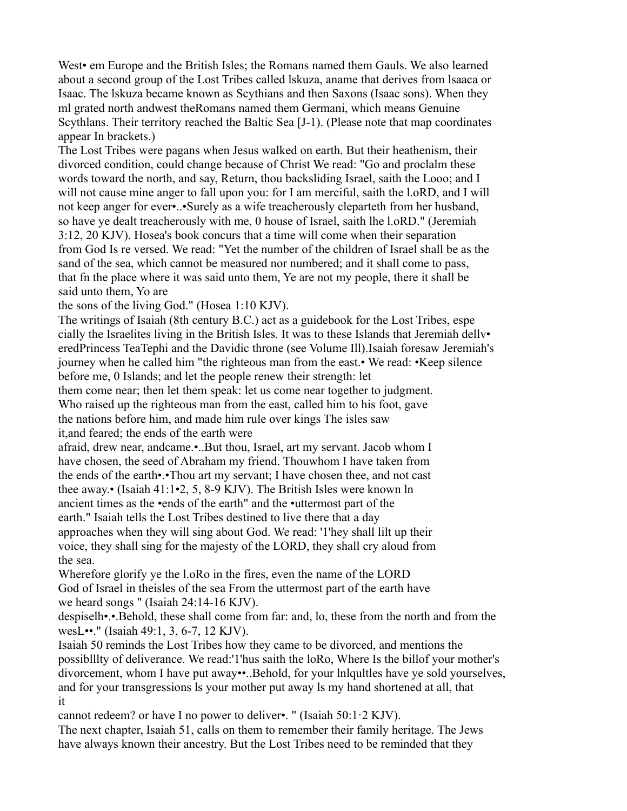West• em Europe and the British Isles; the Romans named them Gauls. We also learned about a second group of the Lost Tribes called lskuza, aname that derives from lsaaca or Isaac. The lskuza became known as Scythians and then Saxons (Isaac sons). When they ml grated north andwest theRomans named them Germani, which means Genuine Scythlans. Their territory reached the Baltic Sea [J-1). (Please note that map coordinates appear In brackets.)

The Lost Tribes were pagans when Jesus walked on earth. But their heathenism, their divorced condition, could change because of Christ We read: "Go and proclalm these words toward the north, and say, Return, thou backsliding Israel, saith the Looo; and I will not cause mine anger to fall upon you: for I am merciful, saith the l.oRD, and I will not keep anger for ever•..•Surely as a wife treacherously cleparteth from her husband, so have ye dealt treacherously with me, 0 house of Israel, saith lhe l.oRD." (Jeremiah 3:12, 20 KJV). Hosea's book concurs that a time will come when their separation from God Is re versed. We read: "Yet the number of the children of Israel shall be as the sand of the sea, which cannot be measured nor numbered; and it shall come to pass, that fn the place where it was said unto them, Ye are not my people, there it shall be said unto them, Yo are

the sons of the living God." (Hosea 1:10 KJV).

The writings of Isaiah (8th century B.C.) act as a guidebook for the Lost Tribes, espe cially the Israelites living in the British Isles. It was to these Islands that Jeremiah dellv• eredPrincess TeaTephi and the Davidic throne (see Volume Ill).Isaiah foresaw Jeremiah's journey when he called him "the righteous man from the east.• We read: •Keep silence before me, 0 Islands; and let the people renew their strength: let

them come near; then let them speak: let us come near together to judgment. Who raised up the righteous man from the east, called him to his foot, gave

the nations before him, and made him rule over kings The isles saw it,and feared; the ends of the earth were

afraid, drew near, andcame.•..But thou, Israel, art my servant. Jacob whom I have chosen, the seed of Abraham my friend. Thouwhom I have taken from the ends of the earth•.•Thou art my servant; I have chosen thee, and not cast thee away.• (Isaiah 41:1•2, 5, 8-9 KJV). The British Isles were known ln ancient times as the •ends of the earth" and the •uttermost part of the earth." Isaiah tells the Lost Tribes destined to live there that a day approaches when they will sing about God. We read: '1'hey shall lilt up their voice, they shall sing for the majesty of the LORD, they shall cry aloud from the sea.

Wherefore glorify ye the l.oRo in the fires, even the name of the LORD God of Israel in theisles of the sea From the uttermost part of the earth have we heard songs " (Isaiah 24:14-16 KJV).

despiselh•.•.Behold, these shall come from far: and, lo, these from the north and from the wesL••." (Isaiah 49:1, 3, 6-7, 12 KJV).

Isaiah 50 reminds the Lost Tribes how they came to be divorced, and mentions the possiblllty of deliverance. We read:'1'hus saith the loRo, Where Is the billof your mother's divorcement, whom I have put away••..Behold, for your lnlqultles have ye sold yourselves, and for your transgressions ls your mother put away ls my hand shortened at all, that it

cannot redeem? or have I no power to deliver•. " (Isaiah 50:1·2 KJV).

The next chapter, Isaiah 51, calls on them to remember their family heritage. The Jews have always known their ancestry. But the Lost Tribes need to be reminded that they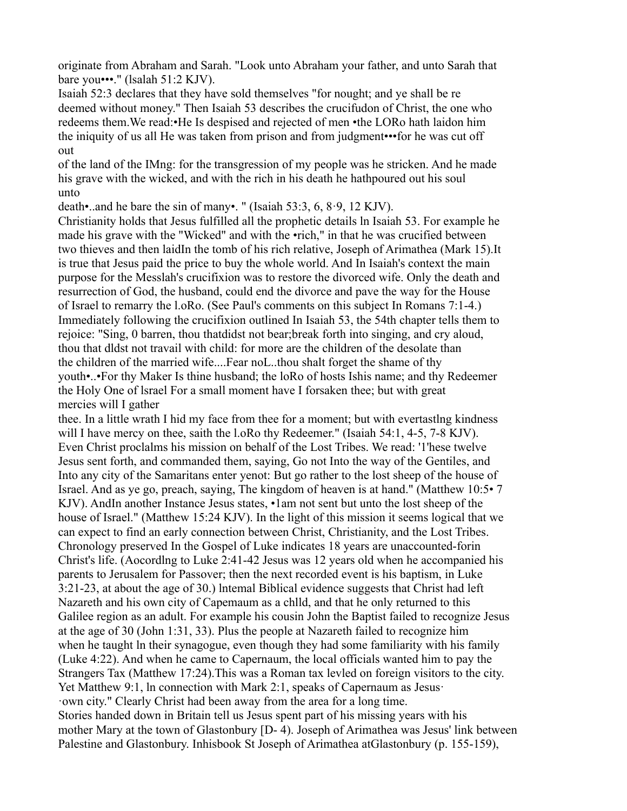originate from Abraham and Sarah. "Look unto Abraham your father, and unto Sarah that bare you•••." (lsalah 51:2 KJV).

Isaiah 52:3 declares that they have sold themselves "for nought; and ye shall be re deemed without money." Then Isaiah 53 describes the crucifudon of Christ, the one who redeems them.We read:•He Is despised and rejected of men •the LORo hath laidon him the iniquity of us all He was taken from prison and from judgment•••for he was cut off out

of the land of the IMng: for the transgression of my people was he stricken. And he made his grave with the wicked, and with the rich in his death he hathpoured out his soul unto

death•..and he bare the sin of many•. " (Isaiah 53:3, 6, 8·9, 12 KJV).

Christianity holds that Jesus fulfilled all the prophetic details ln Isaiah 53. For example he made his grave with the "Wicked" and with the •rich," in that he was crucified between two thieves and then laidIn the tomb of his rich relative, Joseph of Arimathea (Mark 15).It is true that Jesus paid the price to buy the whole world. And In Isaiah's context the main purpose for the Messlah's crucifixion was to restore the divorced wife. Only the death and resurrection of God, the husband, could end the divorce and pave the way for the House of Israel to remarry the l.oRo. (See Paul's comments on this subject In Romans 7:1-4.) Immediately following the crucifixion outlined In Isaiah 53, the 54th chapter tells them to rejoice: "Sing, 0 barren, thou thatdidst not bear;break forth into singing, and cry aloud, thou that dldst not travail with child: for more are the children of the desolate than the children of the married wife....Fear noL..thou shalt forget the shame of thy youth•..•For thy Maker Is thine husband; the loRo of hosts Ishis name; and thy Redeemer the Holy One of lsrael For a small moment have I forsaken thee; but with great mercies will I gather

thee. In a little wrath I hid my face from thee for a moment; but with evertastlng kindness will I have mercy on thee, saith the l.oRo thy Redeemer." (Isaiah 54:1, 4-5, 7-8 KJV). Even Christ proclalms his mission on behalf of the Lost Tribes. We read: '1'hese twelve Jesus sent forth, and commanded them, saying, Go not Into the way of the Gentiles, and Into any city of the Samaritans enter yenot: But go rather to the lost sheep of the house of Israel. And as ye go, preach, saying, The kingdom of heaven is at hand." (Matthew 10:5• 7 KJV). AndIn another Instance Jesus states, •1am not sent but unto the lost sheep of the house of Israel." (Matthew 15:24 KJV). In the light of this mission it seems logical that we can expect to find an early connection between Christ, Christianity, and the Lost Tribes. Chronology preserved In the Gospel of Luke indicates 18 years are unaccounted-forin Christ's life. (Aocordlng to Luke 2:41-42 Jesus was 12 years old when he accompanied his parents to Jerusalem for Passover; then the next recorded event is his baptism, in Luke 3:21-23, at about the age of 30.) lntemal Biblical evidence suggests that Christ had left Nazareth and his own city of Capemaum as a chlld, and that he only returned to this Galilee region as an adult. For example his cousin John the Baptist failed to recognize Jesus at the age of 30 (John 1:31, 33). Plus the people at Nazareth failed to recognize him when he taught ln their synagogue, even though they had some familiarity with his family (Luke 4:22). And when he came to Capernaum, the local officials wanted him to pay the Strangers Tax (Matthew 17:24).This was a Roman tax levled on foreign visitors to the city. Yet Matthew 9:1, ln connection with Mark 2:1, speaks of Capernaum as Jesus· ·own city." Clearly Christ had been away from the area for a long time. Stories handed down in Britain tell us Jesus spent part of his missing years with his mother Mary at the town of Glastonbury [D- 4). Joseph of Arimathea was Jesus' link between Palestine and Glastonbury. Inhisbook St Joseph of Arimathea atGlastonbury (p. 155-159),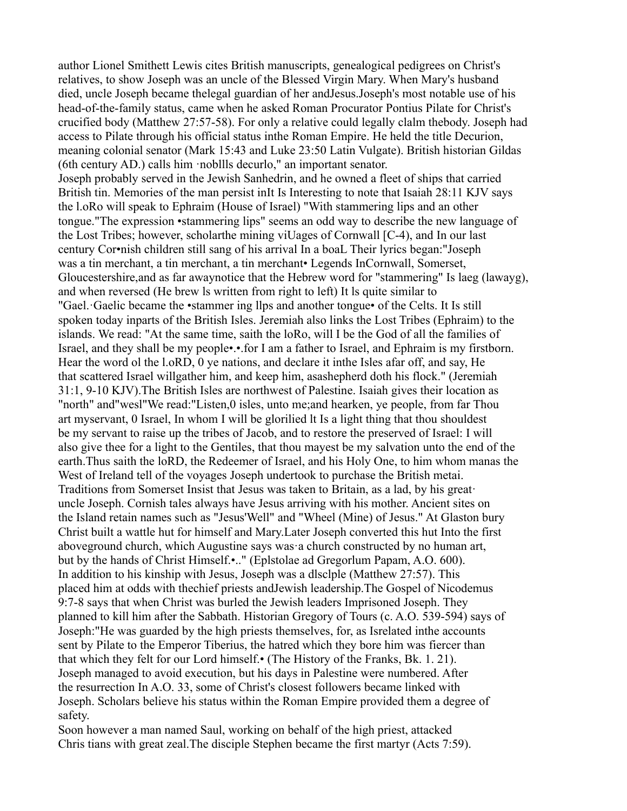author Lionel Smithett Lewis cites British manuscripts, genealogical pedigrees on Christ's relatives, to show Joseph was an uncle of the Blessed Virgin Mary. When Mary's husband died, uncle Joseph became thelegal guardian of her andJesus.Joseph's most notable use of his head-of-the-family status, came when he asked Roman Procurator Pontius Pilate for Christ's crucified body (Matthew 27:57-58). For only a relative could legally clalm thebody. Joseph had access to Pilate through his official status inthe Roman Empire. He held the title Decurion, meaning colonial senator (Mark 15:43 and Luke 23:50 Latin Vulgate). British historian Gildas (6th century AD.) calls him ·nobllls decurlo," an important senator. Joseph probably served in the Jewish Sanhedrin, and he owned a fleet of ships that carried British tin. Memories of the man persist inIt Is Interesting to note that Isaiah 28:11 KJV says the l.oRo will speak to Ephraim (House of Israel) "With stammering lips and an other tongue."The expression •stammering lips" seems an odd way to describe the new language of the Lost Tribes; however, scholarthe mining viUages of Cornwall [C-4), and In our last century Cor•nish children still sang of his arrival In a boaL Their lyrics began:"Joseph was a tin merchant, a tin merchant, a tin merchant• Legends InCornwall, Somerset, Gloucestershire,and as far awaynotice that the Hebrew word for "stammering" Is laeg (lawayg), and when reversed (He brew ls written from right to left) It ls quite similar to "Gael.·Gaelic became the •stammer ing llps and another tongue• of the Celts. It Is still spoken today inparts of the British Isles. Jeremiah also links the Lost Tribes (Ephraim) to the islands. We read: "At the same time, saith the loRo, will I be the God of all the families of Israel, and they shall be my people•.•.for I am a father to Israel, and Ephraim is my firstborn. Hear the word ol the l.oRD, 0 ye nations, and declare it inthe Isles afar off, and say, He that scattered Israel willgather him, and keep him, asashepherd doth his flock." (Jeremiah 31:1, 9-10 KJV).The British Isles are northwest of Palestine. Isaiah gives their location as "north" and"wesl"We read:"Listen,0 isles, unto me;and hearken, ye people, from far Thou art myservant, 0 Israel, In whom I will be glorilied lt Is a light thing that thou shouldest be my servant to raise up the tribes of Jacob, and to restore the preserved of Israel: I will also give thee for a light to the Gentiles, that thou mayest be my salvation unto the end of the earth.Thus saith the loRD, the Redeemer of Israel, and his Holy One, to him whom manas the West of Ireland tell of the voyages Joseph undertook to purchase the British metai. Traditions from Somerset Insist that Jesus was taken to Britain, as a lad, by his great· uncle Joseph. Cornish tales always have Jesus arriving with his mother. Ancient sites on the Island retain names such as "Jesus'Well" and "Wheel (Mine) of Jesus." At Glaston bury Christ built a wattle hut for himself and Mary.Later Joseph converted this hut Into the first aboveground church, which Augustine says was·a church constructed by no human art, but by the hands of Christ Himself.•.." (Eplstolae ad Gregorlum Papam, A.O. 600). In addition to his kinship with Jesus, Joseph was a dlsclple (Matthew 27:57). This placed him at odds with thechief priests andJewish leadership.The Gospel of Nicodemus 9:7-8 says that when Christ was burled the Jewish leaders Imprisoned Joseph. They planned to kill him after the Sabbath. Historian Gregory of Tours (c. A.O. 539-594) says of Joseph:"He was guarded by the high priests themselves, for, as Isrelated inthe accounts sent by Pilate to the Emperor Tiberius, the hatred which they bore him was fiercer than that which they felt for our Lord himself.• (The History of the Franks, Bk. 1. 21). Joseph managed to avoid execution, but his days in Palestine were numbered. After the resurrection In A.O. 33, some of Christ's closest followers became linked with Joseph. Scholars believe his status within the Roman Empire provided them a degree of safety.

Soon however a man named Saul, working on behalf of the high priest, attacked Chris tians with great zeal.The disciple Stephen became the first martyr (Acts 7:59).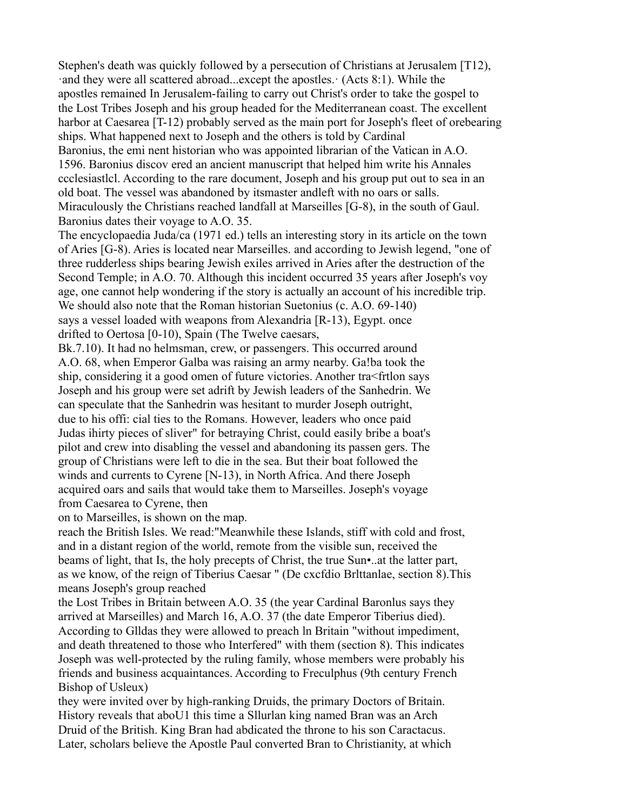Stephen's death was quickly followed by a persecution of Christians at Jerusalem [T12), ·and they were all scattered abroad...except the apostles.· (Acts 8:1). While the apostles remained In Jerusalem-failing to carry out Christ's order to take the gospel to the Lost Tribes Joseph and his group headed for the Mediterranean coast. The excellent harbor at Caesarea [T-12) probably served as the main port for Joseph's fleet of orebearing ships. What happened next to Joseph and the others is told by Cardinal Baronius, the emi nent historian who was appointed librarian of the Vatican in A.O. 1596. Baronius discov ered an ancient manuscript that helped him write his Annales ccclesiastlcl. According to the rare document, Joseph and his group put out to sea in an old boat. The vessel was abandoned by itsmaster andleft with no oars or salls. Miraculously the Christians reached landfall at Marseilles [G-8), in the south of Gaul.

Baronius dates their voyage to A.O. 35.

The encyclopaedia Juda/ca (1971 ed.) tells an interesting story in its article on the town of Aries [G-8). Aries is located near Marseilles. and according to Jewish legend, "one of three rudderless ships bearing Jewish exiles arrived in Aries after the destruction of the Second Temple; in A.O. 70. Although this incident occurred 35 years after Joseph's voy age, one cannot help wondering if the story is actually an account of his incredible trip. We should also note that the Roman historian Suetonius (c. A.O. 69-140) says a vessel loaded with weapons from Alexandria [R-13), Egypt. once drifted to Oertosa [0-10), Spain (The Twelve caesars,

Bk.7.10). It had no helmsman, crew, or passengers. This occurred around A.O. 68, when Emperor Galba was raising an army nearby. Ga!ba took the ship, considering it a good omen of future victories. Another tra<frtlon says Joseph and his group were set adrift by Jewish leaders of the Sanhedrin. We can speculate that the Sanhedrin was hesitant to murder Joseph outright, due to his offi: cial ties to the Romans. However, leaders who once paid Judas ihirty pieces of sliver" for betraying Christ, could easily bribe a boat's pilot and crew into disabling the vessel and abandoning its passen gers. The group of Christians were left to die in the sea. But their boat followed the winds and currents to Cyrene [N-13), in North Africa. And there Joseph acquired oars and sails that would take them to Marseilles. Joseph's voyage from Caesarea to Cyrene, then

on to Marseilles, is shown on the map.

reach the British Isles. We read:"Meanwhile these Islands, stiff with cold and frost, and in a distant region of the world, remote from the visible sun, received the beams of light, that Is, the holy precepts of Christ, the true Sun•..at the latter part, as we know, of the reign of Tiberius Caesar " (De cxcfdio Brlttanlae, section 8).This means Joseph's group reached

the Lost Tribes in Britain between A.O. 35 (the year Cardinal Baronlus says they arrived at Marseilles) and March 16, A.O. 37 (the date Emperor Tiberius died). According to Glldas they were allowed to preach ln Britain "without impediment, and death threatened to those who Interfered" with them (section 8). This indicates Joseph was well-protected by the ruling family, whose members were probably his friends and business acquaintances. According to Freculphus (9th century French Bishop of Usleux)

they were invited over by high-ranking Druids, the primary Doctors of Britain. History reveals that aboU1 this time a Sllurlan king named Bran was an Arch Druid of the British. King Bran had abdicated the throne to his son Caractacus. Later, scholars believe the Apostle Paul converted Bran to Christianity, at which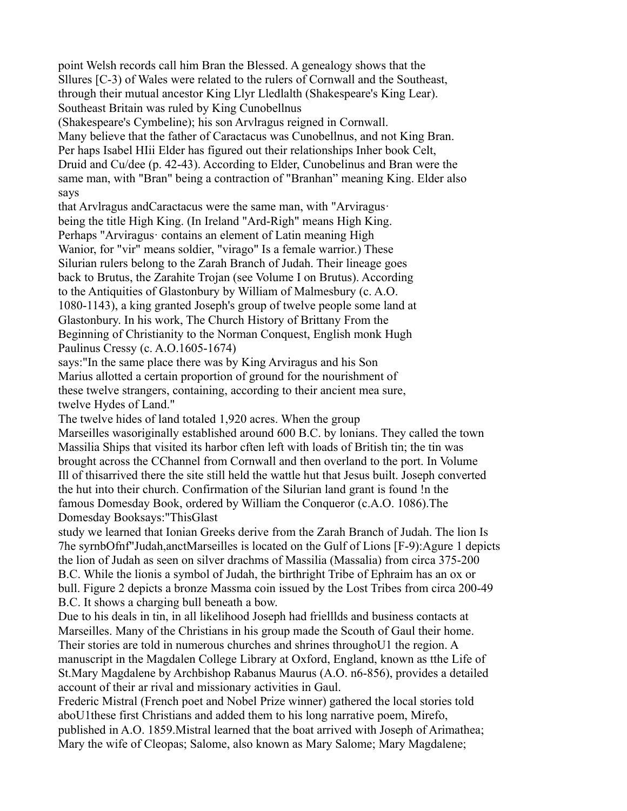point Welsh records call him Bran the Blessed. A genealogy shows that the Sllures [C-3) of Wales were related to the rulers of Cornwall and the Southeast, through their mutual ancestor King Llyr Lledlalth (Shakespeare's King Lear). Southeast Britain was ruled by King Cunobellnus

(Shakespeare's Cymbeline); his son Arvlragus reigned in Cornwall.

Many believe that the father of Caractacus was Cunobellnus, and not King Bran. Per haps Isabel HIii Elder has figured out their relationships Inher book Celt, Druid and Cu/dee (p. 42-43). According to Elder, Cunobelinus and Bran were the same man, with "Bran" being a contraction of "Branhan" meaning King. Elder also says

that Arvlragus andCaractacus were the same man, with "Arviragus· being the title High King. (In Ireland "Ard-Righ" means High King. Perhaps "Arviragus· contains an element of Latin meaning High Wanior, for "vir" means soldier, "virago" Is a female warrior.) These Silurian rulers belong to the Zarah Branch of Judah. Their lineage goes back to Brutus, the Zarahite Trojan (see Volume I on Brutus). According to the Antiquities of Glastonbury by William of Malmesbury (c. A.O. 1080-1143), a king granted Joseph's group of twelve people some land at Glastonbury. In his work, The Church History of Brittany From the Beginning of Christianity to the Norman Conquest, English monk Hugh Paulinus Cressy (c. A.O.1605-1674)

says:"In the same place there was by King Arviragus and his Son Marius allotted a certain proportion of ground for the nourishment of these twelve strangers, containing, according to their ancient mea sure, twelve Hydes of Land."

The twelve hides of land totaled 1,920 acres. When the group

Marseilles wasoriginally established around 600 B.C. by lonians. They called the town Massilia Ships that visited its harbor cften left with loads of British tin; the tin was brought across the CChannel from Cornwall and then overland to the port. In Volume Ill of thisarrived there the site still held the wattle hut that Jesus built. Joseph converted the hut into their church. Confirmation of the Silurian land grant is found !n the famous Domesday Book, ordered by William the Conqueror (c.A.O. 1086).The Domesday Booksays:"ThisGlast

study we learned that Ionian Greeks derive from the Zarah Branch of Judah. The lion Is 7he syrnbOfnf"Judah,anctMarseilles is located on the Gulf of Lions [F-9):Agure 1 depicts the lion of Judah as seen on silver drachms of Massilia (Massalia) from circa 375-200 B.C. While the lionis a symbol of Judah, the birthright Tribe of Ephraim has an ox or bull. Figure 2 depicts a bronze Massma coin issued by the Lost Tribes from circa 200-49 B.C. It shows a charging bull beneath a bow.

Due to his deals in tin, in all likelihood Joseph had frielllds and business contacts at Marseilles. Many of the Christians in his group made the Scouth of Gaul their home. Their stories are told in numerous churches and shrines throughoU1 the region. A manuscript in the Magdalen College Library at Oxford, England, known as tthe Life of St.Mary Magdalene by Archbishop Rabanus Maurus (A.O. n6-856), provides a detailed account of their ar rival and missionary activities in Gaul.

Frederic Mistral (French poet and Nobel Prize winner) gathered the local stories told aboU1these first Christians and added them to his long narrative poem, Mirefo, published in A.O. 1859.Mistral learned that the boat arrived with Joseph of Arimathea; Mary the wife of Cleopas; Salome, also known as Mary Salome; Mary Magdalene;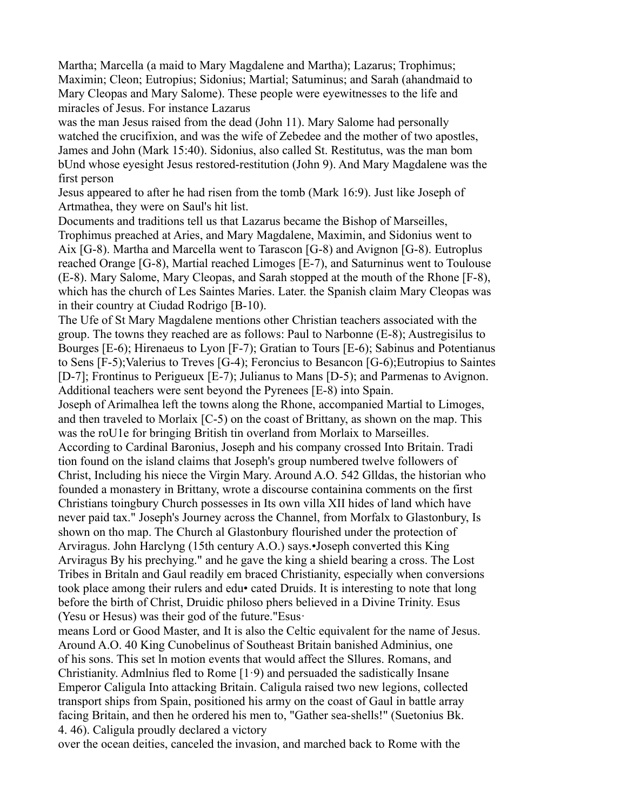Martha; Marcella (a maid to Mary Magdalene and Martha); Lazarus; Trophimus; Maximin; Cleon; Eutropius; Sidonius; Martial; Satuminus; and Sarah (ahandmaid to Mary Cleopas and Mary Salome). These people were eyewitnesses to the life and miracles of Jesus. For instance Lazarus

was the man Jesus raised from the dead (John 11). Mary Salome had personally watched the crucifixion, and was the wife of Zebedee and the mother of two apostles, James and John (Mark 15:40). Sidonius, also called St. Restitutus, was the man bom bUnd whose eyesight Jesus restored-restitution (John 9). And Mary Magdalene was the first person

Jesus appeared to after he had risen from the tomb (Mark 16:9). Just like Joseph of Artmathea, they were on Saul's hit list.

Documents and traditions tell us that Lazarus became the Bishop of Marseilles, Trophimus preached at Aries, and Mary Magdalene, Maximin, and Sidonius went to Aix [G-8). Martha and Marcella went to Tarascon [G-8) and Avignon [G-8). Eutroplus reached Orange [G-8), Martial reached Limoges [E-7), and Saturninus went to Toulouse (E-8). Mary Salome, Mary Cleopas, and Sarah stopped at the mouth of the Rhone [F-8), which has the church of Les Saintes Maries. Later. the Spanish claim Mary Cleopas was in their country at Ciudad Rodrigo [B-10).

The Ufe of St Mary Magdalene mentions other Christian teachers associated with the group. The towns they reached are as follows: Paul to Narbonne (E-8); Austregisilus to Bourges [E-6); Hirenaeus to Lyon [F-7); Gratian to Tours [E-6); Sabinus and Potentianus to Sens [F-5);Valerius to Treves [G-4); Feroncius to Besancon [G-6);Eutropius to Saintes [D-7]; Frontinus to Perigueux [E-7); Julianus to Mans [D-5); and Parmenas to Avignon. Additional teachers were sent beyond the Pyrenees [E-8) into Spain.

Joseph of Arimalhea left the towns along the Rhone, accompanied Martial to Limoges, and then traveled to Morlaix [C-5) on the coast of Brittany, as shown on the map. This was the roU1e for bringing British tin overland from Morlaix to Marseilles. According to Cardinal Baronius, Joseph and his company crossed Into Britain. Tradi tion found on the island claims that Joseph's group numbered twelve followers of Christ, Including his niece the Virgin Mary. Around A.O. 542 Glldas, the historian who founded a monastery in Brittany, wrote a discourse containina comments on the first Christians toingbury Church possesses in Its own villa XII hides of land which have never paid tax." Joseph's Journey across the Channel, from Morfalx to Glastonbury, Is shown on tho map. The Church al Glastonbury flourished under the protection of Arviragus. John Harclyng (15th century A.O.) says.•Joseph converted this King Arviragus By his prechying." and he gave the king a shield bearing a cross. The Lost Tribes in Britaln and Gaul readily em braced Christianity, especially when conversions took place among their rulers and edu• cated Druids. It is interesting to note that long before the birth of Christ, Druidic philoso phers believed in a Divine Trinity. Esus (Yesu or Hesus) was their god of the future."Esus·

means Lord or Good Master, and It is also the Celtic equivalent for the name of Jesus. Around A.O. 40 King Cunobelinus of Southeast Britain banished Adminius, one of his sons. This set ln motion events that would affect the Sllures. Romans, and Christianity. Admlnius fled to Rome  $[1.9]$  and persuaded the sadistically Insane Emperor Caligula Into attacking Britain. Caligula raised two new legions, collected transport ships from Spain, positioned his army on the coast of Gaul in battle array facing Britain, and then he ordered his men to, "Gather sea-shells!" (Suetonius Bk. 4. 46). Caligula proudly declared a victory

over the ocean deities, canceled the invasion, and marched back to Rome with the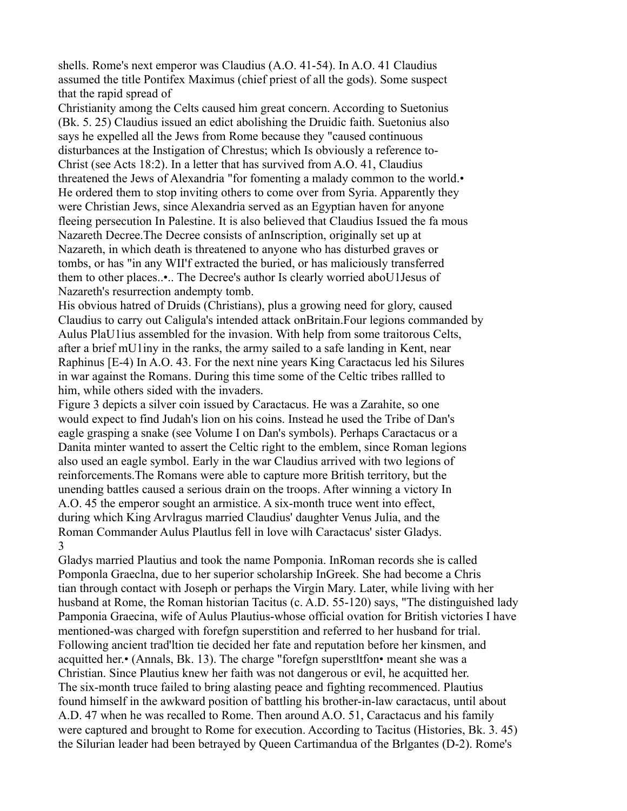shells. Rome's next emperor was Claudius (A.O. 41-54). In A.O. 41 Claudius assumed the title Pontifex Maximus (chief priest of all the gods). Some suspect that the rapid spread of

Christianity among the Celts caused him great concern. According to Suetonius (Bk. 5. 25) Claudius issued an edict abolishing the Druidic faith. Suetonius also says he expelled all the Jews from Rome because they "caused continuous disturbances at the Instigation of Chrestus; which Is obviously a reference to-Christ (see Acts 18:2). In a letter that has survived from A.O. 41, Claudius threatened the Jews of Alexandria "for fomenting a malady common to the world.• He ordered them to stop inviting others to come over from Syria. Apparently they were Christian Jews, since Alexandria served as an Egyptian haven for anyone fleeing persecution In Palestine. It is also believed that Claudius Issued the fa mous Nazareth Decree.The Decree consists of anInscription, originally set up at Nazareth, in which death is threatened to anyone who has disturbed graves or tombs, or has "in any WII'f extracted the buried, or has maliciously transferred them to other places..•.. The Decree's author Is clearly worried aboU1Jesus of Nazareth's resurrection andempty tomb.

His obvious hatred of Druids (Christians), plus a growing need for glory, caused Claudius to carry out Caligula's intended attack onBritain.Four legions commanded by Aulus PlaU1ius assembled for the invasion. With help from some traitorous Celts, after a brief mU1iny in the ranks, the army sailed to a safe landing in Kent, near Raphinus [E-4) In A.O. 43. For the next nine years King Caractacus led his Silures in war against the Romans. During this time some of the Celtic tribes rallled to him, while others sided with the invaders.

Figure 3 depicts a silver coin issued by Caractacus. He was a Zarahite, so one would expect to find Judah's lion on his coins. Instead he used the Tribe of Dan's eagle grasping a snake (see Volume I on Dan's symbols). Perhaps Caractacus or a Danita minter wanted to assert the Celtic right to the emblem, since Roman legions also used an eagle symbol. Early in the war Claudius arrived with two legions of reinforcements.The Romans were able to capture more British territory, but the unending battles caused a serious drain on the troops. After winning a victory In A.O. 45 the emperor sought an armistice. A six-month truce went into effect, during which King Arvlragus married Claudius' daughter Venus Julia, and the Roman Commander Aulus Plautlus fell in love wilh Caractacus' sister Gladys. 3

Gladys married Plautius and took the name Pomponia. InRoman records she is called Pomponla Graeclna, due to her superior scholarship InGreek. She had become a Chris tian through contact with Joseph or perhaps the Virgin Mary. Later, while living with her husband at Rome, the Roman historian Tacitus (c. A.D. 55-120) says, "The distinguished lady Pamponia Graecina, wife of Aulus Plautius-whose official ovation for British victories I have mentioned-was charged with forefgn superstition and referred to her husband for trial. Following ancient trad'ltion tie decided her fate and reputation before her kinsmen, and acquitted her.• (Annals, Bk. 13). The charge "forefgn superstltfon• meant she was a Christian. Since Plautius knew her faith was not dangerous or evil, he acquitted her. The six-month truce failed to bring alasting peace and fighting recommenced. Plautius found himself in the awkward position of battling his brother-in-law caractacus, until about A.D. 47 when he was recalled to Rome. Then around A.O. 51, Caractacus and his family were captured and brought to Rome for execution. According to Tacitus (Histories, Bk. 3. 45) the Silurian leader had been betrayed by Queen Cartimandua of the Brlgantes (D-2). Rome's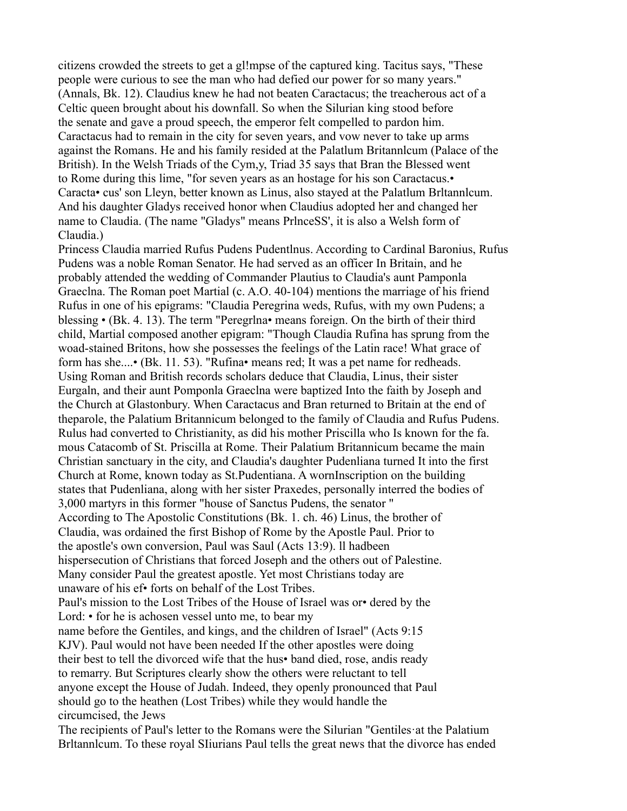citizens crowded the streets to get a gl!mpse of the captured king. Tacitus says, "These people were curious to see the man who had defied our power for so many years." (Annals, Bk. 12). Claudius knew he had not beaten Caractacus; the treacherous act of a Celtic queen brought about his downfall. So when the Silurian king stood before the senate and gave a proud speech, the emperor felt compelled to pardon him. Caractacus had to remain in the city for seven years, and vow never to take up arms against the Romans. He and his family resided at the Palatlum Britannlcum (Palace of the British). In the Welsh Triads of the Cym,y, Triad 35 says that Bran the Blessed went to Rome during this lime, "for seven years as an hostage for his son Caractacus.• Caracta• cus' son Lleyn, better known as Linus, also stayed at the Palatlum Brltannlcum. And his daughter Gladys received honor when Claudius adopted her and changed her name to Claudia. (The name "Gladys" means PrlnceSS', it is also a Welsh form of Claudia.)

Princess Claudia married Rufus Pudens Pudentlnus. According to Cardinal Baronius, Rufus Pudens was a noble Roman Senator. He had served as an officer In Britain, and he probably attended the wedding of Commander Plautius to Claudia's aunt Pamponla Graeclna. The Roman poet Martial (c. A.O. 40-104) mentions the marriage of his friend Rufus in one of his epigrams: "Claudia Peregrina weds, Rufus, with my own Pudens; a blessing • (Bk. 4. 13). The term "Peregrlna• means foreign. On the birth of their third child, Martial composed another epigram: "Though Claudia Rufina has sprung from the woad-stained Britons, how she possesses the feelings of the Latin race! What grace of form has she....• (Bk. 11. 53). "Rufina• means red; It was a pet name for redheads. Using Roman and British records scholars deduce that Claudia, Linus, their sister Eurgaln, and their aunt Pomponla Graeclna were baptized Into the faith by Joseph and the Church at Glastonbury. When Caractacus and Bran returned to Britain at the end of theparole, the Palatium Britannicum belonged to the family of Claudia and Rufus Pudens. Rulus had converted to Christianity, as did his mother Priscilla who Is known for the fa. mous Catacomb of St. Priscilla at Rome. Their Palatium Britannicum became the main Christian sanctuary in the city, and Claudia's daughter Pudenliana turned It into the first Church at Rome, known today as St.Pudentiana. A wornInscription on the building states that Pudenliana, along with her sister Praxedes, personally interred the bodies of 3,000 martyrs in this former "house of Sanctus Pudens, the senator " According to The Apostolic Constitutions (Bk. 1. ch. 46) Linus, the brother of Claudia, was ordained the first Bishop of Rome by the Apostle Paul. Prior to the apostle's own conversion, Paul was Saul (Acts 13:9). ll hadbeen hispersecution of Christians that forced Joseph and the others out of Palestine. Many consider Paul the greatest apostle. Yet most Christians today are unaware of his ef• forts on behalf of the Lost Tribes. Paul's mission to the Lost Tribes of the House of Israel was or• dered by the Lord:  $\cdot$  for he is achosen vessel unto me, to bear my name before the Gentiles, and kings, and the children of Israel" (Acts 9:15 KJV). Paul would not have been needed If the other apostles were doing their best to tell the divorced wife that the hus• band died, rose, andis ready to remarry. But Scriptures clearly show the others were reluctant to tell anyone except the House of Judah. Indeed, they openly pronounced that Paul should go to the heathen (Lost Tribes) while they would handle the circumcised, the Jews

The recipients of Paul's letter to the Romans were the Silurian "Gentiles·at the Palatium Brltannlcum. To these royal SIiurians Paul tells the great news that the divorce has ended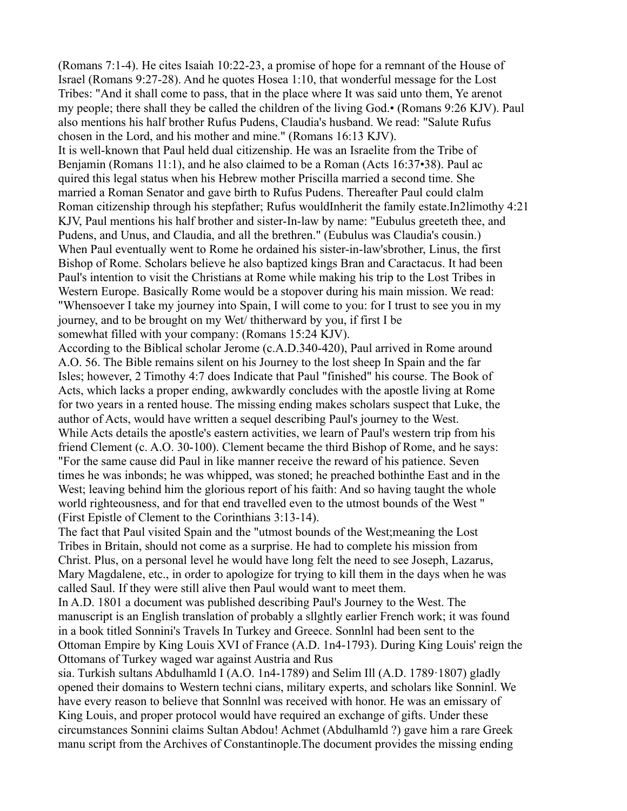(Romans 7:1-4). He cites Isaiah 10:22-23, a promise of hope for a remnant of the House of Israel (Romans 9:27-28). And he quotes Hosea 1:10, that wonderful message for the Lost Tribes: "And it shall come to pass, that in the place where It was said unto them, Ye arenot my people; there shall they be called the children of the living God.• (Romans 9:26 KJV). Paul also mentions his half brother Rufus Pudens, Claudia's husband. We read: "Salute Rufus chosen in the Lord, and his mother and mine." (Romans 16:13 KJV).

It is well-known that Paul held dual citizenship. He was an Israelite from the Tribe of Benjamin (Romans 11:1), and he also claimed to be a Roman (Acts 16:37•38). Paul ac quired this legal status when his Hebrew mother Priscilla married a second time. She married a Roman Senator and gave birth to Rufus Pudens. Thereafter Paul could clalm Roman citizenship through his stepfather; Rufus wouldInherit the family estate.In2limothy 4:21 KJV, Paul mentions his half brother and sister-In-law by name: "Eubulus greeteth thee, and Pudens, and Unus, and Claudia, and all the brethren." (Eubulus was Claudia's cousin.) When Paul eventually went to Rome he ordained his sister-in-law'sbrother, Linus, the first Bishop of Rome. Scholars believe he also baptized kings Bran and Caractacus. It had been Paul's intention to visit the Christians at Rome while making his trip to the Lost Tribes in Western Europe. Basically Rome would be a stopover during his main mission. We read: "Whensoever I take my journey into Spain, I will come to you: for I trust to see you in my journey, and to be brought on my Wet/ thitherward by you, if first I be somewhat filled with your company: (Romans 15:24 KJV).

According to the Biblical scholar Jerome (c.A.D.340-420), Paul arrived in Rome around A.O. 56. The Bible remains silent on his Journey to the lost sheep In Spain and the far Isles; however, 2 Timothy 4:7 does Indicate that Paul "finished" his course. The Book of Acts, which lacks a proper ending, awkwardly concludes with the apostle living at Rome for two years in a rented house. The missing ending makes scholars suspect that Luke, the author of Acts, would have written a sequel describing Paul's journey to the West. While Acts details the apostle's eastern activities, we learn of Paul's western trip from his friend Clement (c. A.O. 30-100). Clement became the third Bishop of Rome, and he says: "For the same cause did Paul in like manner receive the reward of his patience. Seven times he was inbonds; he was whipped, was stoned; he preached bothinthe East and in the West; leaving behind him the glorious report of his faith: And so having taught the whole world righteousness, and for that end travelled even to the utmost bounds of the West " (First Epistle of Clement to the Corinthians 3:13-14).

The fact that Paul visited Spain and the "utmost bounds of the West;meaning the Lost Tribes in Britain, should not come as a surprise. He had to complete his mission from Christ. Plus, on a personal level he would have long felt the need to see Joseph, Lazarus, Mary Magdalene, etc., in order to apologize for trying to kill them in the days when he was called Saul. If they were still alive then Paul would want to meet them.

In A.D. 1801 a document was published describing Paul's Journey to the West. The manuscript is an English translation of probably a sllghtly earlier French work; it was found in a book titled Sonnini's Travels In Turkey and Greece. Sonnlnl had been sent to the Ottoman Empire by King Louis XVI of France (A.D. 1n4-1793). During King Louis' reign the Ottomans of Turkey waged war against Austria and Rus

sia. Turkish sultans Abdulhamld I (A.O. 1n4-1789) and Selim Ill (A.D. 1789·1807) gladly opened their domains to Western techni cians, military experts, and scholars like Sonninl. We have every reason to believe that Sonnlnl was received with honor. He was an emissary of King Louis, and proper protocol would have required an exchange of gifts. Under these circumstances Sonnini claims Sultan Abdou! Achmet (Abdulhamld ?) gave him a rare Greek manu script from the Archives of Constantinople.The document provides the missing ending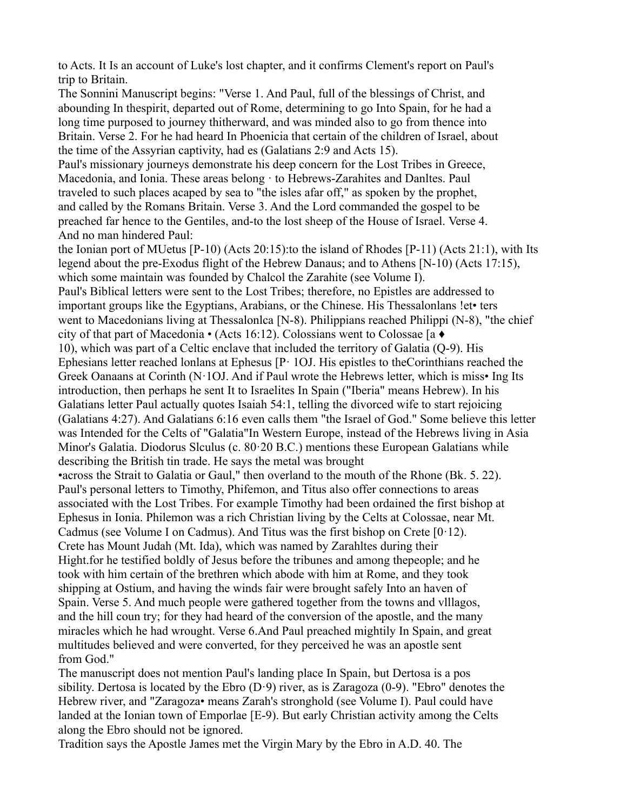to Acts. It Is an account of Luke's lost chapter, and it confirms Clement's report on Paul's trip to Britain.

The Sonnini Manuscript begins: "Verse 1. And Paul, full of the blessings of Christ, and abounding In thespirit, departed out of Rome, determining to go Into Spain, for he had a long time purposed to journey thitherward, and was minded also to go from thence into Britain. Verse 2. For he had heard In Phoenicia that certain of the children of Israel, about the time of the Assyrian captivity, had es (Galatians 2:9 and Acts 15).

Paul's missionary journeys demonstrate his deep concern for the Lost Tribes in Greece, Macedonia, and Ionia. These areas belong · to Hebrews-Zarahites and Danltes. Paul traveled to such places acaped by sea to "the isles afar off," as spoken by the prophet, and called by the Romans Britain. Verse 3. And the Lord commanded the gospel to be preached far hence to the Gentiles, and-to the lost sheep of the House of Israel. Verse 4. And no man hindered Paul:

the Ionian port of MUetus [P-10) (Acts 20:15):to the island of Rhodes [P-11) (Acts 21:1), with Its legend about the pre-Exodus flight of the Hebrew Danaus; and to Athens [N-10) (Acts 17:15), which some maintain was founded by Chalcol the Zarahite (see Volume I).

Paul's Biblical letters were sent to the Lost Tribes; therefore, no Epistles are addressed to important groups like the Egyptians, Arabians, or the Chinese. His Thessalonlans !et• ters went to Macedonians living at Thessalonlca [N-8). Philippians reached Philippi (N-8), "the chief city of that part of Macedonia • (Acts 16:12). Colossians went to Colossae [a ♦

10), which was part of a Celtic enclave that included the territory of Galatia (Q-9). His Ephesians letter reached lonlans at Ephesus [P· 1OJ. His epistles to theCorinthians reached the Greek Oanaans at Corinth (N·1OJ. And if Paul wrote the Hebrews letter, which is miss• Ing Its introduction, then perhaps he sent It to Israelites In Spain ("Iberia" means Hebrew). In his Galatians letter Paul actually quotes Isaiah 54:1, telling the divorced wife to start rejoicing (Galatians 4:27). And Galatians 6:16 even calls them "the Israel of God." Some believe this letter was Intended for the Celts of "Galatia"In Western Europe, instead of the Hebrews living in Asia Minor's Galatia. Diodorus Slculus (c. 80·20 B.C.) mentions these European Galatians while describing the British tin trade. He says the metal was brought

•across the Strait to Galatia or Gaul," then overland to the mouth of the Rhone (Bk. 5. 22). Paul's personal letters to Timothy, Phifemon, and Titus also offer connections to areas associated with the Lost Tribes. For example Timothy had been ordained the first bishop at Ephesus in Ionia. Philemon was a rich Christian living by the Celts at Colossae, near Mt. Cadmus (see Volume I on Cadmus). And Titus was the first bishop on Crete  $[0.12)$ . Crete has Mount Judah (Mt. Ida), which was named by Zarahltes during their Hight.for he testified boldly of Jesus before the tribunes and among thepeople; and he took with him certain of the brethren which abode with him at Rome, and they took shipping at Ostium, and having the winds fair were brought safely Into an haven of Spain. Verse 5. And much people were gathered together from the towns and vlllagos, and the hill coun try; for they had heard of the conversion of the apostle, and the many miracles which he had wrought. Verse 6.And Paul preached mightily In Spain, and great multitudes believed and were converted, for they perceived he was an apostle sent from God."

The manuscript does not mention Paul's landing place In Spain, but Dertosa is a pos sibility. Dertosa is located by the Ebro  $(D.9)$  river, as is Zaragoza  $(0.9)$ . "Ebro" denotes the Hebrew river, and "Zaragoza• means Zarah's stronghold (see Volume I). Paul could have landed at the Ionian town of Emporlae [E-9). But early Christian activity among the Celts along the Ebro should not be ignored.

Tradition says the Apostle James met the Virgin Mary by the Ebro in A.D. 40. The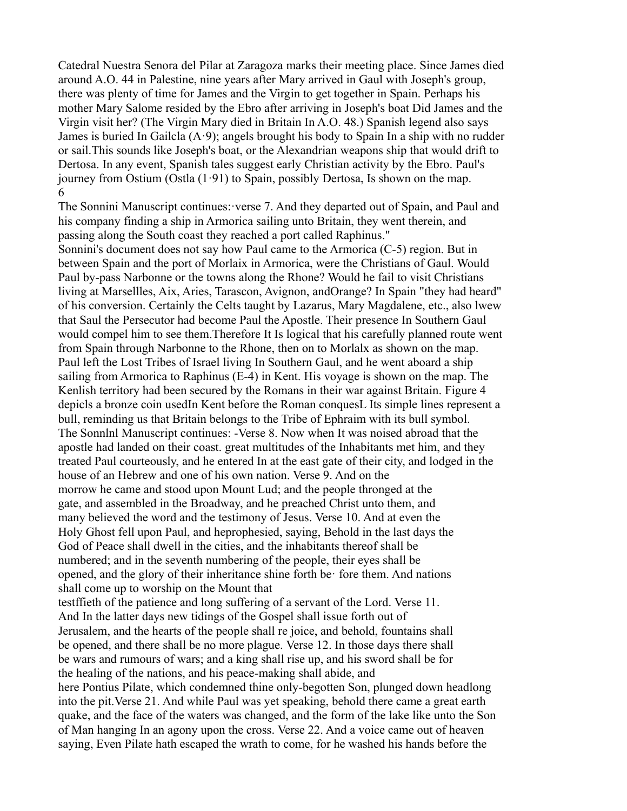Catedral Nuestra Senora del Pilar at Zaragoza marks their meeting place. Since James died around A.O. 44 in Palestine, nine years after Mary arrived in Gaul with Joseph's group, there was plenty of time for James and the Virgin to get together in Spain. Perhaps his mother Mary Salome resided by the Ebro after arriving in Joseph's boat Did James and the Virgin visit her? (The Virgin Mary died in Britain In A.O. 48.) Spanish legend also says James is buried In Gailcla  $(A.9)$ ; angels brought his body to Spain In a ship with no rudder or sail.This sounds like Joseph's boat, or the Alexandrian weapons ship that would drift to Dertosa. In any event, Spanish tales suggest early Christian activity by the Ebro. Paul's journey from Ostium (Ostla  $(1.91)$  to Spain, possibly Dertosa, Is shown on the map. 6

The Sonnini Manuscript continues:·verse 7. And they departed out of Spain, and Paul and his company finding a ship in Armorica sailing unto Britain, they went therein, and passing along the South coast they reached a port called Raphinus."

Sonnini's document does not say how Paul came to the Armorica (C-5) region. But in between Spain and the port of Morlaix in Armorica, were the Christians of Gaul. Would Paul by-pass Narbonne or the towns along the Rhone? Would he fail to visit Christians living at Marsellles, Aix, Aries, Tarascon, Avignon, andOrange? In Spain "they had heard" of his conversion. Certainly the Celts taught by Lazarus, Mary Magdalene, etc., also lwew that Saul the Persecutor had become Paul the Apostle. Their presence In Southern Gaul would compel him to see them.Therefore It Is logical that his carefully planned route went from Spain through Narbonne to the Rhone, then on to Morlalx as shown on the map. Paul left the Lost Tribes of Israel living In Southern Gaul, and he went aboard a ship sailing from Armorica to Raphinus (E-4) in Kent. His voyage is shown on the map. The Kenlish territory had been secured by the Romans in their war against Britain. Figure 4 depicls a bronze coin usedIn Kent before the Roman conquesL Its simple lines represent a bull, reminding us that Britain belongs to the Tribe of Ephraim with its bull symbol. The Sonnlnl Manuscript continues: -Verse 8. Now when It was noised abroad that the apostle had landed on their coast. great multitudes of the Inhabitants met him, and they treated Paul courteously, and he entered In at the east gate of their city, and lodged in the house of an Hebrew and one of his own nation. Verse 9. And on the morrow he came and stood upon Mount Lud; and the people thronged at the gate, and assembled in the Broadway, and he preached Christ unto them, and many believed the word and the testimony of Jesus. Verse 10. And at even the Holy Ghost fell upon Paul, and heprophesied, saying, Behold in the last days the God of Peace shall dwell in the cities, and the inhabitants thereof shall be numbered; and in the seventh numbering of the people, their eyes shall be opened, and the glory of their inheritance shine forth be· fore them. And nations shall come up to worship on the Mount that testffieth of the patience and long suffering of a servant of the Lord. Verse 11.

And In the latter days new tidings of the Gospel shall issue forth out of Jerusalem, and the hearts of the people shall re joice, and behold, fountains shall be opened, and there shall be no more plague. Verse 12. In those days there shall be wars and rumours of wars; and a king shall rise up, and his sword shall be for the healing of the nations, and his peace-making shall abide, and

here Pontius Pilate, which condemned thine only-begotten Son, plunged down headlong into the pit.Verse 21. And while Paul was yet speaking, behold there came a great earth quake, and the face of the waters was changed, and the form of the lake like unto the Son of Man hanging In an agony upon the cross. Verse 22. And a voice came out of heaven saying, Even Pilate hath escaped the wrath to come, for he washed his hands before the